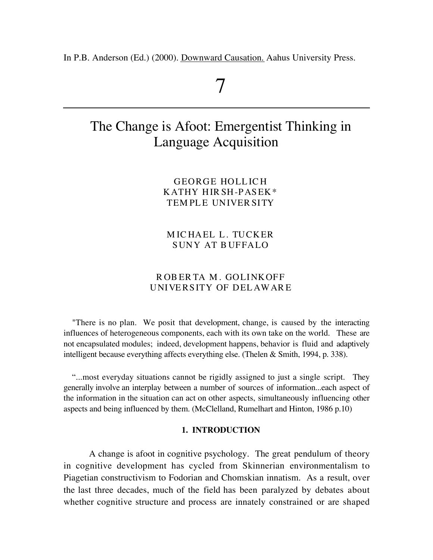In P.B. Anderson (Ed.) (2000). Downward Causation. Aahus University Press.

# 7

## The Change is Afoot: Emergentist Thinking in Language Acquisition

GEORGE HOLL IC H KATHY HIR SH-PASEK\* TEMPLE UNIVER SITY

M IC HAEL L. TUCKER SUNY AT B UFFALO

## R OB ER TA M . GOLINKOFF UNIVERSITY OF DEL AWAR E

"There is no plan. We posit that development, change, is caused by the interacting influences of heterogeneous components, each with its own take on the world. These are not encapsulated modules; indeed, development happens, behavior is fluid and adaptively intelligent because everything affects everything else. (Thelen & Smith, 1994, p. 338).

"...most everyday situations cannot be rigidly assigned to just a single script. They generally involve an interplay between a number of sources of information...each aspect of the information in the situation can act on other aspects, simultaneously influencing other aspects and being influenced by them. (McClelland, Rumelhart and Hinton, 1986 p.10)

#### **1. INTRODUCTION**

A change is afoot in cognitive psychology. The great pendulum of theory in cognitive development has cycled from Skinnerian environmentalism to Piagetian constructivism to Fodorian and Chomskian innatism. As a result, over the last three decades, much of the field has been paralyzed by debates about whether cognitive structure and process are innately constrained or are shaped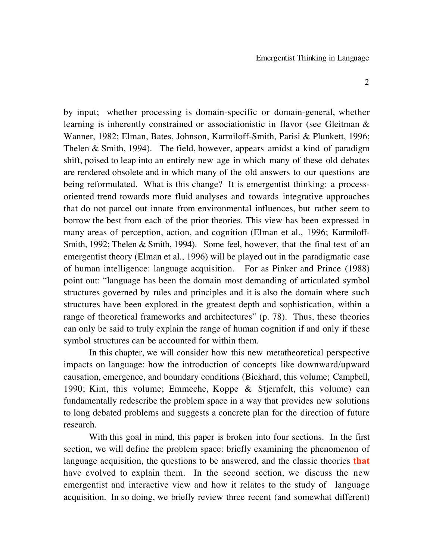by input; whether processing is domain-specific or domain-general, whether learning is inherently constrained or associationistic in flavor (see Gleitman & Wanner, 1982; Elman, Bates, Johnson, Karmiloff-Smith, Parisi & Plunkett, 1996; Thelen & Smith, 1994). The field, however, appears amidst a kind of paradigm shift, poised to leap into an entirely new age in which many of these old debates are rendered obsolete and in which many of the old answers to our questions are being reformulated. What is this change? It is emergentist thinking: a processoriented trend towards more fluid analyses and towards integrative approaches that do not parcel out innate from environmental influences, but rather seem to borrow the best from each of the prior theories. This view has been expressed in many areas of perception, action, and cognition (Elman et al., 1996; Karmiloff-Smith, 1992; Thelen & Smith, 1994). Some feel, however, that the final test of an emergentist theory (Elman et al., 1996) will be played out in the paradigmatic case of human intelligence: language acquisition. For as Pinker and Prince (1988) point out: "language has been the domain most demanding of articulated symbol structures governed by rules and principles and it is also the domain where such structures have been explored in the greatest depth and sophistication, within a range of theoretical frameworks and architectures" (p. 78). Thus, these theories can only be said to truly explain the range of human cognition if and only if these symbol structures can be accounted for within them.

In this chapter, we will consider how this new metatheoretical perspective impacts on language: how the introduction of concepts like downward/upward causation, emergence, and boundary conditions (Bickhard, this volume; Campbell, 1990; Kim, this volume; Emmeche, Koppe & Stjernfelt, this volume) can fundamentally redescribe the problem space in a way that provides new solutions to long debated problems and suggests a concrete plan for the direction of future research.

With this goal in mind, this paper is broken into four sections. In the first section, we will define the problem space: briefly examining the phenomenon of language acquisition, the questions to be answered, and the classic theories **that** have evolved to explain them. In the second section, we discuss the new emergentist and interactive view and how it relates to the study of language acquisition. In so doing, we briefly review three recent (and somewhat different)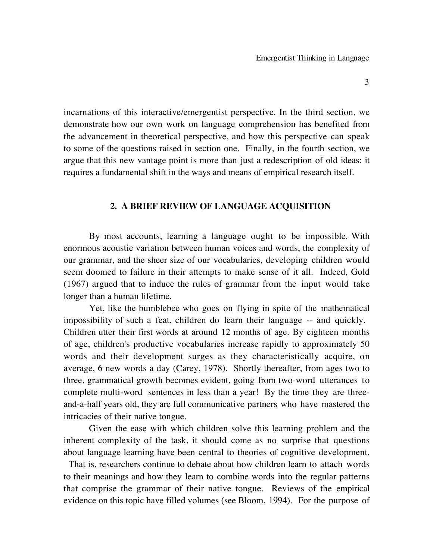incarnations of this interactive/emergentist perspective. In the third section, we demonstrate how our own work on language comprehension has benefited from the advancement in theoretical perspective, and how this perspective can speak to some of the questions raised in section one. Finally, in the fourth section, we argue that this new vantage point is more than just a redescription of old ideas: it requires a fundamental shift in the ways and means of empirical research itself.

## **2. A BRIEF REVIEW OF LANGUAGE ACQUISITION**

By most accounts, learning a language ought to be impossible. With enormous acoustic variation between human voices and words, the complexity of our grammar, and the sheer size of our vocabularies, developing children would seem doomed to failure in their attempts to make sense of it all. Indeed, Gold (1967) argued that to induce the rules of grammar from the input would take longer than a human lifetime.

Yet, like the bumblebee who goes on flying in spite of the mathematical impossibility of such a feat, children do learn their language -- and quickly. Children utter their first words at around 12 months of age. By eighteen months of age, children's productive vocabularies increase rapidly to approximately 50 words and their development surges as they characteristically acquire, on average, 6 new words a day (Carey, 1978). Shortly thereafter, from ages two to three, grammatical growth becomes evident, going from two-word utterances to complete multi-word sentences in less than a year! By the time they are threeand-a-half years old, they are full communicative partners who have mastered the intricacies of their native tongue.

Given the ease with which children solve this learning problem and the inherent complexity of the task, it should come as no surprise that questions about language learning have been central to theories of cognitive development.

 That is, researchers continue to debate about how children learn to attach words to their meanings and how they learn to combine words into the regular patterns that comprise the grammar of their native tongue. Reviews of the empirical evidence on this topic have filled volumes (see Bloom, 1994). For the purpose of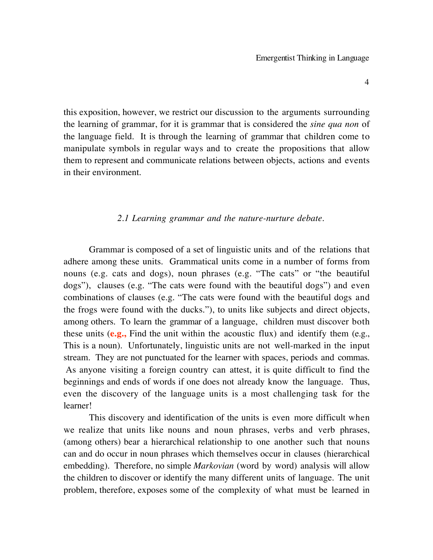this exposition, however, we restrict our discussion to the arguments surrounding the learning of grammar, for it is grammar that is considered the *sine qua non* of the language field. It is through the learning of grammar that children come to manipulate symbols in regular ways and to create the propositions that allow them to represent and communicate relations between objects, actions and events in their environment.

#### *2.1 Learning grammar and the nature-nurture debate.*

Grammar is composed of a set of linguistic units and of the relations that adhere among these units. Grammatical units come in a number of forms from nouns (e.g. cats and dogs), noun phrases (e.g. "The cats" or "the beautiful dogs"), clauses (e.g. "The cats were found with the beautiful dogs") and even combinations of clauses (e.g. "The cats were found with the beautiful dogs and the frogs were found with the ducks."), to units like subjects and direct objects, among others. To learn the grammar of a language, children must discover both these units (**e.g.,** Find the unit within the acoustic flux) and identify them (e.g., This is a noun). Unfortunately, linguistic units are not well-marked in the input stream. They are not punctuated for the learner with spaces, periods and commas. As anyone visiting a foreign country can attest, it is quite difficult to find the beginnings and ends of words if one does not already know the language. Thus, even the discovery of the language units is a most challenging task for the learner!

This discovery and identification of the units is even more difficult when we realize that units like nouns and noun phrases, verbs and verb phrases, (among others) bear a hierarchical relationship to one another such that nouns can and do occur in noun phrases which themselves occur in clauses (hierarchical embedding). Therefore, no simple *Markovian* (word by word) analysis will allow the children to discover or identify the many different units of language. The unit problem, therefore, exposes some of the complexity of what must be learned in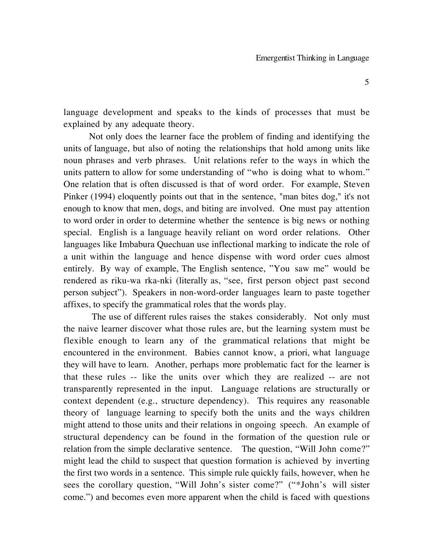language development and speaks to the kinds of processes that must be explained by any adequate theory.

Not only does the learner face the problem of finding and identifying the units of language, but also of noting the relationships that hold among units like noun phrases and verb phrases. Unit relations refer to the ways in which the units pattern to allow for some understanding of "who is doing what to whom." One relation that is often discussed is that of word order. For example, Steven Pinker (1994) eloquently points out that in the sentence, "man bites dog," it's not enough to know that men, dogs, and biting are involved. One must pay attention to word order in order to determine whether the sentence is big news or nothing special. English is a language heavily reliant on word order relations. Other languages like Imbabura Quechuan use inflectional marking to indicate the role of a unit within the language and hence dispense with word order cues almost entirely. By way of example, The English sentence, "You saw me" would be rendered as riku-wa rka-nki (literally as, "see, first person object past second person subject"). Speakers in non-word-order languages learn to paste together affixes, to specify the grammatical roles that the words play.

The use of different rules raises the stakes considerably. Not only must the naive learner discover what those rules are, but the learning system must be flexible enough to learn any of the grammatical relations that might be encountered in the environment. Babies cannot know, a priori, what language they will have to learn. Another, perhaps more problematic fact for the learner is that these rules -- like the units over which they are realized -- are not transparently represented in the input. Language relations are structurally or context dependent (e.g., structure dependency). This requires any reasonable theory of language learning to specify both the units and the ways children might attend to those units and their relations in ongoing speech. An example of structural dependency can be found in the formation of the question rule or relation from the simple declarative sentence. The question, "Will John come?" might lead the child to suspect that question formation is achieved by inverting the first two words in a sentence. This simple rule quickly fails, however, when he sees the corollary question, "Will John's sister come?" ("\*John's will sister come.") and becomes even more apparent when the child is faced with questions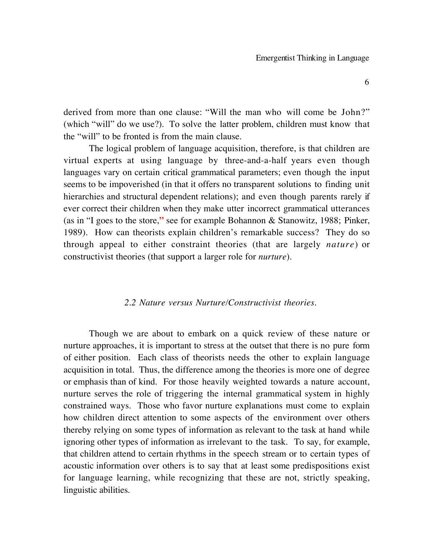derived from more than one clause: "Will the man who will come be John?" (which "will" do we use?). To solve the latter problem, children must know that the "will" to be fronted is from the main clause.

The logical problem of language acquisition, therefore, is that children are virtual experts at using language by three-and-a-half years even though languages vary on certain critical grammatical parameters; even though the input seems to be impoverished (in that it offers no transparent solutions to finding unit hierarchies and structural dependent relations); and even though parents rarely if ever correct their children when they make utter incorrect grammatical utterances (as in "I goes to the store,**"** see for example Bohannon & Stanowitz, 1988; Pinker, 1989). How can theorists explain children's remarkable success? They do so through appeal to either constraint theories (that are largely *nature*) or constructivist theories (that support a larger role for *nurture*).

## *2.2 Nature versus Nurture/Constructivist theories.*

Though we are about to embark on a quick review of these nature or nurture approaches, it is important to stress at the outset that there is no pure form of either position. Each class of theorists needs the other to explain language acquisition in total. Thus, the difference among the theories is more one of degree or emphasis than of kind. For those heavily weighted towards a nature account, nurture serves the role of triggering the internal grammatical system in highly constrained ways. Those who favor nurture explanations must come to explain how children direct attention to some aspects of the environment over others thereby relying on some types of information as relevant to the task at hand while ignoring other types of information as irrelevant to the task. To say, for example, that children attend to certain rhythms in the speech stream or to certain types of acoustic information over others is to say that at least some predispositions exist for language learning, while recognizing that these are not, strictly speaking, linguistic abilities.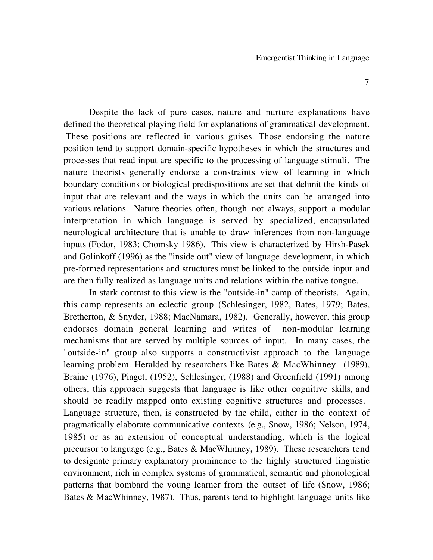Despite the lack of pure cases, nature and nurture explanations have defined the theoretical playing field for explanations of grammatical development. These positions are reflected in various guises. Those endorsing the nature position tend to support domain-specific hypotheses in which the structures and processes that read input are specific to the processing of language stimuli. The nature theorists generally endorse a constraints view of learning in which boundary conditions or biological predispositions are set that delimit the kinds of input that are relevant and the ways in which the units can be arranged into various relations. Nature theories often, though not always, support a modular interpretation in which language is served by specialized, encapsulated neurological architecture that is unable to draw inferences from non-language inputs (Fodor, 1983; Chomsky 1986). This view is characterized by Hirsh-Pasek and Golinkoff (1996) as the "inside out" view of language development, in which pre-formed representations and structures must be linked to the outside input and are then fully realized as language units and relations within the native tongue.

In stark contrast to this view is the "outside-in" camp of theorists. Again, this camp represents an eclectic group (Schlesinger, 1982, Bates, 1979; Bates, Bretherton, & Snyder, 1988; MacNamara, 1982). Generally, however, this group endorses domain general learning and writes of non-modular learning mechanisms that are served by multiple sources of input. In many cases, the "outside-in" group also supports a constructivist approach to the language learning problem. Heralded by researchers like Bates & MacWhinney (1989), Braine (1976), Piaget, (1952), Schlesinger, (1988) and Greenfield (1991) among others, this approach suggests that language is like other cognitive skills, and should be readily mapped onto existing cognitive structures and processes. Language structure, then, is constructed by the child, either in the context of pragmatically elaborate communicative contexts (e.g., Snow, 1986; Nelson, 1974, 1985) or as an extension of conceptual understanding, which is the logical precursor to language (e.g., Bates & MacWhinney**,** 1989). These researchers tend to designate primary explanatory prominence to the highly structured linguistic environment, rich in complex systems of grammatical, semantic and phonological patterns that bombard the young learner from the outset of life (Snow, 1986; Bates & MacWhinney, 1987). Thus, parents tend to highlight language units like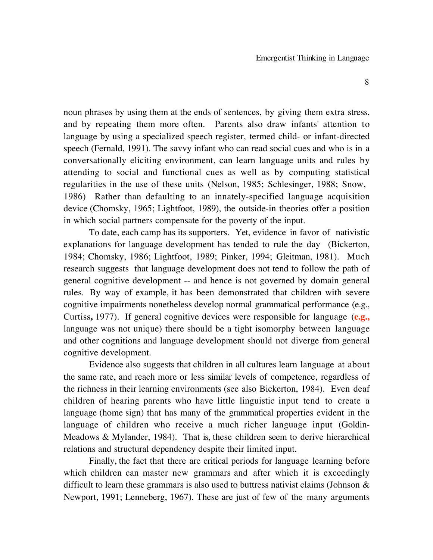noun phrases by using them at the ends of sentences, by giving them extra stress, and by repeating them more often. Parents also draw infants' attention to language by using a specialized speech register, termed child- or infant-directed speech (Fernald, 1991). The savvy infant who can read social cues and who is in a conversationally eliciting environment, can learn language units and rules by attending to social and functional cues as well as by computing statistical regularities in the use of these units (Nelson, 1985; Schlesinger, 1988; Snow, 1986) Rather than defaulting to an innately-specified language acquisition device (Chomsky, 1965; Lightfoot, 1989), the outside-in theories offer a position in which social partners compensate for the poverty of the input.

To date, each camp has its supporters. Yet, evidence in favor of nativistic explanations for language development has tended to rule the day (Bickerton, 1984; Chomsky, 1986; Lightfoot, 1989; Pinker, 1994; Gleitman, 1981). Much research suggests that language development does not tend to follow the path of general cognitive development -- and hence is not governed by domain general rules. By way of example, it has been demonstrated that children with severe cognitive impairments nonetheless develop normal grammatical performance (e.g., Curtiss**,** 1977). If general cognitive devices were responsible for language (**e.g.,** language was not unique) there should be a tight isomorphy between language and other cognitions and language development should not diverge from general cognitive development.

Evidence also suggests that children in all cultures learn language at about the same rate, and reach more or less similar levels of competence, regardless of the richness in their learning environments (see also Bickerton, 1984). Even deaf children of hearing parents who have little linguistic input tend to create a language (home sign) that has many of the grammatical properties evident in the language of children who receive a much richer language input (Goldin-Meadows & Mylander, 1984). That is, these children seem to derive hierarchical relations and structural dependency despite their limited input.

Finally, the fact that there are critical periods for language learning before which children can master new grammars and after which it is exceedingly difficult to learn these grammars is also used to buttress nativist claims (Johnson & Newport, 1991; Lenneberg, 1967). These are just of few of the many arguments

8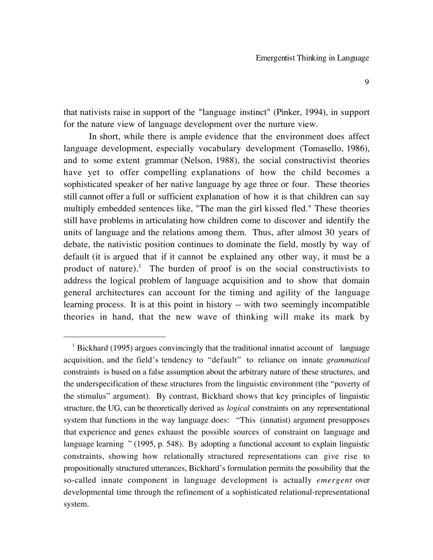that nativists raise in support of the "language instinct" (Pinker, 1994), in support for the nature view of language development over the nurture view.

In short, while there is ample evidence that the environment does affect language development, especially vocabulary development (Tomasello, 1986), and to some extent grammar (Nelson, 1988), the social constructivist theories have yet to offer compelling explanations of how the child becomes a sophisticated speaker of her native language by age three or four. These theories still cannot offer a full or sufficient explanation of how it is that children can say multiply embedded sentences like, "The man the girl kissed fled." These theories still have problems in articulating how children come to discover and identify the units of language and the relations among them. Thus, after almost 30 years of debate, the nativistic position continues to dominate the field, mostly by way of default (it is argued that if it cannot be explained any other way, it must be a product of nature).<sup>1</sup> The burden of proof is on the social constructivists to address the logical problem of language acquisition and to show that domain general architectures can account for the timing and agility of the language learning process. It is at this point in history -- with two seemingly incompatible theories in hand, that the new wave of thinking will make its mark by

 $\overline{a}$ 

<sup>&</sup>lt;sup>1</sup> Bickhard (1995) argues convincingly that the traditional innatist account of language acquisition, and the field's tendency to "default" to reliance on innate *grammatical* constraints is based on a false assumption about the arbitrary nature of these structures, and the underspecification of these structures from the linguistic environment (the "poverty of the stimulus" argument). By contrast, Bickhard shows that key principles of linguistic structure, the UG, can be theoretically derived as *logical* constraints on any representational system that functions in the way language does: "This (innatist) argument presupposes that experience and genes exhaust the possible sources of constraint on language and language learning " (1995, p. 548). By adopting a functional account to explain linguistic constraints, showing how relationally structured representations can give rise to propositionally structured utterances, Bickhard's formulation permits the possibility that the so-called innate component in language development is actually *emergent* over developmental time through the refinement of a sophisticated relational-representational system.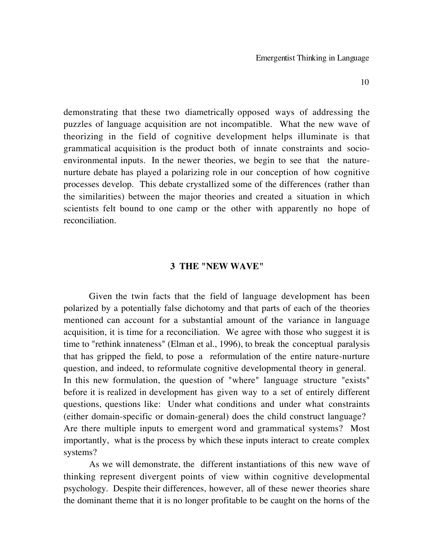demonstrating that these two diametrically opposed ways of addressing the puzzles of language acquisition are not incompatible. What the new wave of theorizing in the field of cognitive development helps illuminate is that grammatical acquisition is the product both of innate constraints and socioenvironmental inputs. In the newer theories, we begin to see that the naturenurture debate has played a polarizing role in our conception of how cognitive processes develop. This debate crystallized some of the differences (rather than the similarities) between the major theories and created a situation in which scientists felt bound to one camp or the other with apparently no hope of reconciliation.

#### **3 THE "NEW WAVE"**

Given the twin facts that the field of language development has been polarized by a potentially false dichotomy and that parts of each of the theories mentioned can account for a substantial amount of the variance in language acquisition, it is time for a reconciliation. We agree with those who suggest it is time to "rethink innateness" (Elman et al., 1996), to break the conceptual paralysis that has gripped the field, to pose a reformulation of the entire nature-nurture question, and indeed, to reformulate cognitive developmental theory in general. In this new formulation, the question of "where" language structure "exists" before it is realized in development has given way to a set of entirely different questions, questions like: Under what conditions and under what constraints (either domain-specific or domain-general) does the child construct language? Are there multiple inputs to emergent word and grammatical systems? Most importantly, what is the process by which these inputs interact to create complex systems?

As we will demonstrate, the different instantiations of this new wave of thinking represent divergent points of view within cognitive developmental psychology. Despite their differences, however, all of these newer theories share the dominant theme that it is no longer profitable to be caught on the horns of the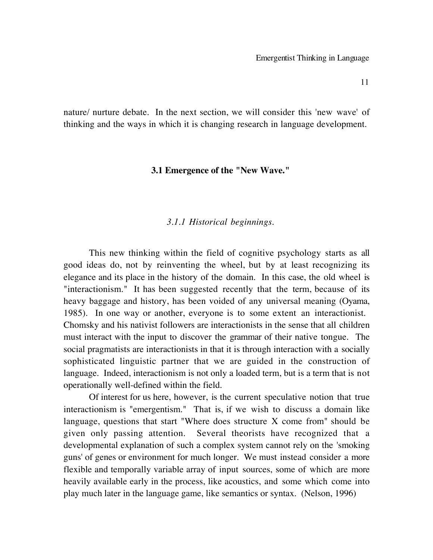nature/ nurture debate. In the next section, we will consider this 'new wave' of thinking and the ways in which it is changing research in language development.

## **3.1 Emergence of the "New Wave."**

## *3.1.1 Historical beginnings.*

This new thinking within the field of cognitive psychology starts as all good ideas do, not by reinventing the wheel, but by at least recognizing its elegance and its place in the history of the domain. In this case, the old wheel is "interactionism." It has been suggested recently that the term, because of its heavy baggage and history, has been voided of any universal meaning (Oyama, 1985). In one way or another, everyone is to some extent an interactionist. Chomsky and his nativist followers are interactionists in the sense that all children must interact with the input to discover the grammar of their native tongue. The social pragmatists are interactionists in that it is through interaction with a socially sophisticated linguistic partner that we are guided in the construction of language. Indeed, interactionism is not only a loaded term, but is a term that is not operationally well-defined within the field.

Of interest for us here, however, is the current speculative notion that true interactionism is "emergentism." That is, if we wish to discuss a domain like language, questions that start "Where does structure X come from" should be given only passing attention. Several theorists have recognized that a developmental explanation of such a complex system cannot rely on the 'smoking guns' of genes or environment for much longer. We must instead consider a more flexible and temporally variable array of input sources, some of which are more heavily available early in the process, like acoustics, and some which come into play much later in the language game, like semantics or syntax. (Nelson, 1996)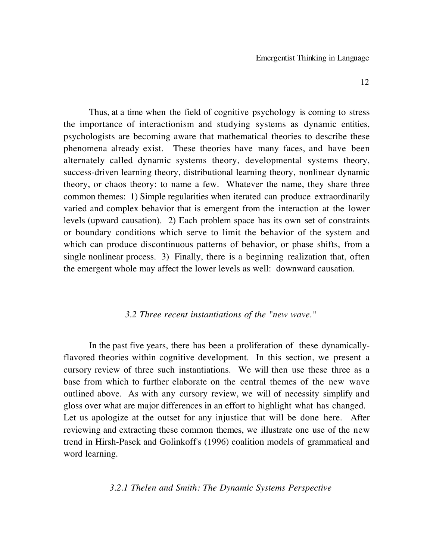Thus, at a time when the field of cognitive psychology is coming to stress the importance of interactionism and studying systems as dynamic entities, psychologists are becoming aware that mathematical theories to describe these phenomena already exist. These theories have many faces, and have been alternately called dynamic systems theory, developmental systems theory, success-driven learning theory, distributional learning theory, nonlinear dynamic theory, or chaos theory: to name a few. Whatever the name, they share three common themes: 1) Simple regularities when iterated can produce extraordinarily varied and complex behavior that is emergent from the interaction at the lower levels (upward causation). 2) Each problem space has its own set of constraints or boundary conditions which serve to limit the behavior of the system and which can produce discontinuous patterns of behavior, or phase shifts, from a single nonlinear process. 3) Finally, there is a beginning realization that, often the emergent whole may affect the lower levels as well: downward causation.

## *3.2 Three recent instantiations of the "new wave."*

In the past five years, there has been a proliferation of these dynamicallyflavored theories within cognitive development. In this section, we present a cursory review of three such instantiations. We will then use these three as a base from which to further elaborate on the central themes of the new wave outlined above. As with any cursory review, we will of necessity simplify and gloss over what are major differences in an effort to highlight what has changed. Let us apologize at the outset for any injustice that will be done here. After reviewing and extracting these common themes, we illustrate one use of the new trend in Hirsh-Pasek and Golinkoff's (1996) coalition models of grammatical and word learning.

## *3.2.1 Thelen and Smith: The Dynamic Systems Perspective*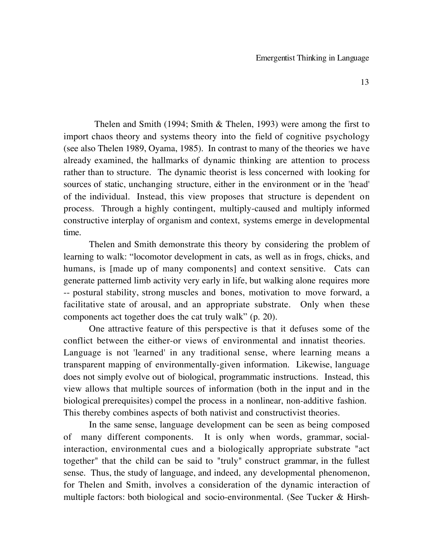Thelen and Smith (1994; Smith & Thelen, 1993) were among the first to import chaos theory and systems theory into the field of cognitive psychology (see also Thelen 1989, Oyama, 1985). In contrast to many of the theories we have already examined, the hallmarks of dynamic thinking are attention to process rather than to structure. The dynamic theorist is less concerned with looking for sources of static, unchanging structure, either in the environment or in the 'head' of the individual. Instead, this view proposes that structure is dependent on process. Through a highly contingent, multiply-caused and multiply informed constructive interplay of organism and context, systems emerge in developmental time.

Thelen and Smith demonstrate this theory by considering the problem of learning to walk: "locomotor development in cats, as well as in frogs, chicks, and humans, is [made up of many components] and context sensitive. Cats can generate patterned limb activity very early in life, but walking alone requires more -- postural stability, strong muscles and bones, motivation to move forward, a facilitative state of arousal, and an appropriate substrate. Only when these components act together does the cat truly walk" (p. 20).

One attractive feature of this perspective is that it defuses some of the conflict between the either-or views of environmental and innatist theories. Language is not 'learned' in any traditional sense, where learning means a transparent mapping of environmentally-given information. Likewise, language does not simply evolve out of biological, programmatic instructions. Instead, this view allows that multiple sources of information (both in the input and in the biological prerequisites) compel the process in a nonlinear, non-additive fashion. This thereby combines aspects of both nativist and constructivist theories.

 In the same sense, language development can be seen as being composed of many different components. It is only when words, grammar, socialinteraction, environmental cues and a biologically appropriate substrate "act together" that the child can be said to "truly" construct grammar, in the fullest sense. Thus, the study of language, and indeed, any developmental phenomenon, for Thelen and Smith, involves a consideration of the dynamic interaction of multiple factors: both biological and socio-environmental. (See Tucker & Hirsh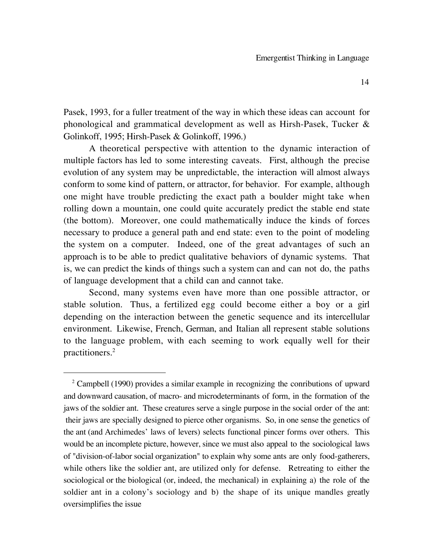Pasek, 1993, for a fuller treatment of the way in which these ideas can account for phonological and grammatical development as well as Hirsh-Pasek, Tucker & Golinkoff, 1995; Hirsh-Pasek & Golinkoff, 1996.)

A theoretical perspective with attention to the dynamic interaction of multiple factors has led to some interesting caveats. First, although the precise evolution of any system may be unpredictable, the interaction will almost always conform to some kind of pattern, or attractor, for behavior. For example, although one might have trouble predicting the exact path a boulder might take when rolling down a mountain, one could quite accurately predict the stable end state (the bottom). Moreover, one could mathematically induce the kinds of forces necessary to produce a general path and end state: even to the point of modeling the system on a computer. Indeed, one of the great advantages of such an approach is to be able to predict qualitative behaviors of dynamic systems. That is, we can predict the kinds of things such a system can and can not do, the paths of language development that a child can and cannot take.

Second, many systems even have more than one possible attractor, or stable solution. Thus, a fertilized egg could become either a boy or a girl depending on the interaction between the genetic sequence and its intercellular environment. Likewise, French, German, and Italian all represent stable solutions to the language problem, with each seeming to work equally well for their practitioners.2

 $\overline{a}$ 

 $2^2$  Campbell (1990) provides a similar example in recognizing the conributions of upward and downward causation, of macro- and microdeterminants of form, in the formation of the jaws of the soldier ant. These creatures serve a single purpose in the social order of the ant: their jaws are specially designed to pierce other organisms. So, in one sense the genetics of the ant (and Archimedes' laws of levers) selects functional pincer forms over others. This would be an incomplete picture, however, since we must also appeal to the sociological laws of "division-of-labor social organization" to explain why some ants are only food-gatherers, while others like the soldier ant, are utilized only for defense. Retreating to either the sociological or the biological (or, indeed, the mechanical) in explaining a) the role of the soldier ant in a colony's sociology and b) the shape of its unique mandles greatly oversimplifies the issue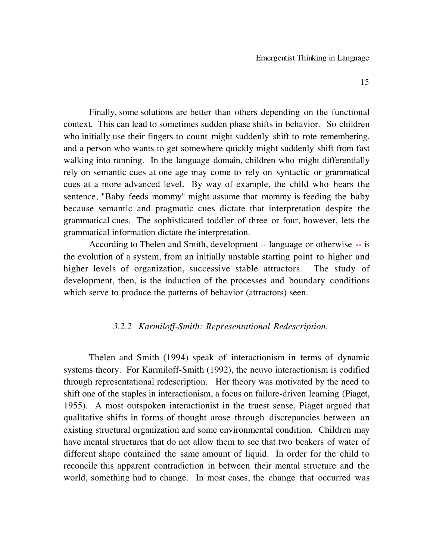Finally, some solutions are better than others depending on the functional context. This can lead to sometimes sudden phase shifts in behavior. So children who initially use their fingers to count might suddenly shift to rote remembering, and a person who wants to get somewhere quickly might suddenly shift from fast walking into running. In the language domain, children who might differentially rely on semantic cues at one age may come to rely on syntactic or grammatical cues at a more advanced level. By way of example, the child who hears the sentence, "Baby feeds mommy" might assume that mommy is feeding the baby because semantic and pragmatic cues dictate that interpretation despite the grammatical cues. The sophisticated toddler of three or four, however, lets the grammatical information dictate the interpretation.

According to Thelen and Smith, development -- language or otherwise **--** is the evolution of a system, from an initially unstable starting point to higher and higher levels of organization, successive stable attractors. The study of development, then, is the induction of the processes and boundary conditions which serve to produce the patterns of behavior (attractors) seen.

## *3.2.2 Karmiloff-Smith: Representational Redescription.*

Thelen and Smith (1994) speak of interactionism in terms of dynamic systems theory. For Karmiloff-Smith (1992), the neuvo interactionism is codified through representational redescription. Her theory was motivated by the need to shift one of the staples in interactionism, a focus on failure-driven learning (Piaget, 1955). A most outspoken interactionist in the truest sense, Piaget argued that qualitative shifts in forms of thought arose through discrepancies between an existing structural organization and some environmental condition. Children may have mental structures that do not allow them to see that two beakers of water of different shape contained the same amount of liquid. In order for the child to reconcile this apparent contradiction in between their mental structure and the world, something had to change. In most cases, the change that occurred was

 $\overline{a}$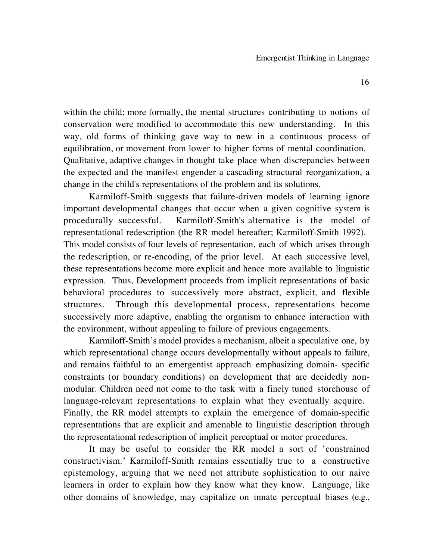within the child; more formally, the mental structures contributing to notions of conservation were modified to accommodate this new understanding. In this way, old forms of thinking gave way to new in a continuous process of equilibration, or movement from lower to higher forms of mental coordination. Qualitative, adaptive changes in thought take place when discrepancies between the expected and the manifest engender a cascading structural reorganization, a change in the child's representations of the problem and its solutions.

Karmiloff-Smith suggests that failure-driven models of learning ignore important developmental changes that occur when a given cognitive system is procedurally successful. Karmiloff-Smith's alternative is the model of representational redescription (the RR model hereafter; Karmiloff-Smith 1992). This model consists of four levels of representation, each of which arises through the redescription, or re-encoding, of the prior level. At each successive level, these representations become more explicit and hence more available to linguistic expression. Thus, Development proceeds from implicit representations of basic behavioral procedures to successively more abstract, explicit, and flexible structures. Through this developmental process, representations become successively more adaptive, enabling the organism to enhance interaction with the environment, without appealing to failure of previous engagements.

Karmiloff-Smith's model provides a mechanism, albeit a speculative one, by which representational change occurs developmentally without appeals to failure, and remains faithful to an emergentist approach emphasizing domain- specific constraints (or boundary conditions) on development that are decidedly nonmodular. Children need not come to the task with a finely tuned storehouse of language-relevant representations to explain what they eventually acquire. Finally, the RR model attempts to explain the emergence of domain-specific representations that are explicit and amenable to linguistic description through the representational redescription of implicit perceptual or motor procedures.

It may be useful to consider the RR model a sort of 'constrained constructivism.' Karmiloff-Smith remains essentially true to a constructive epistemology, arguing that we need not attribute sophistication to our naive learners in order to explain how they know what they know. Language, like other domains of knowledge, may capitalize on innate perceptual biases (e.g.,

16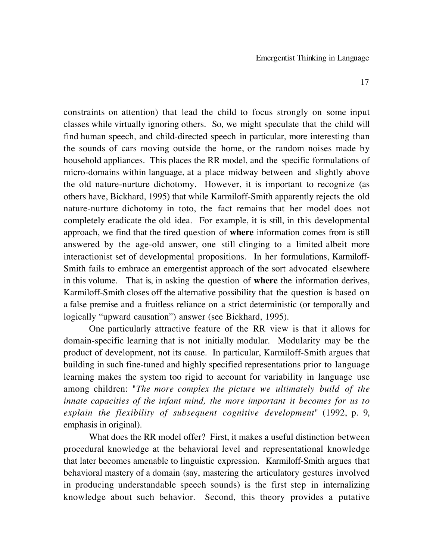constraints on attention) that lead the child to focus strongly on some input classes while virtually ignoring others. So, we might speculate that the child will find human speech, and child-directed speech in particular, more interesting than the sounds of cars moving outside the home, or the random noises made by household appliances. This places the RR model, and the specific formulations of micro-domains within language, at a place midway between and slightly above the old nature-nurture dichotomy. However, it is important to recognize (as others have, Bickhard, 1995) that while Karmiloff-Smith apparently rejects the old nature-nurture dichotomy in toto, the fact remains that her model does not completely eradicate the old idea. For example, it is still, in this developmental approach, we find that the tired question of **where** information comes from is still answered by the age-old answer, one still clinging to a limited albeit more interactionist set of developmental propositions. In her formulations, Karmiloff-Smith fails to embrace an emergentist approach of the sort advocated elsewhere in this volume. That is, in asking the question of **where** the information derives, Karmiloff-Smith closes off the alternative possibility that the question is based on a false premise and a fruitless reliance on a strict deterministic (or temporally and logically "upward causation") answer (see Bickhard, 1995).

One particularly attractive feature of the RR view is that it allows for domain-specific learning that is not initially modular. Modularity may be the product of development, not its cause. In particular, Karmiloff-Smith argues that building in such fine-tuned and highly specified representations prior to language learning makes the system too rigid to account for variability in language use among children: "*The more complex the picture we ultimately build of the innate capacities of the infant mind, the more important it becomes for us to explain the flexibility of subsequent cognitive development*" (1992, p. 9, emphasis in original).

What does the RR model offer? First, it makes a useful distinction between procedural knowledge at the behavioral level and representational knowledge that later becomes amenable to linguistic expression. Karmiloff-Smith argues that behavioral mastery of a domain (say, mastering the articulatory gestures involved in producing understandable speech sounds) is the first step in internalizing knowledge about such behavior. Second, this theory provides a putative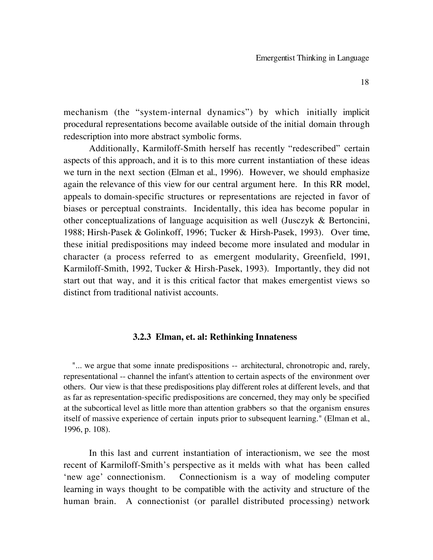mechanism (the "system-internal dynamics") by which initially implicit procedural representations become available outside of the initial domain through redescription into more abstract symbolic forms.

Additionally, Karmiloff-Smith herself has recently "redescribed" certain aspects of this approach, and it is to this more current instantiation of these ideas we turn in the next section (Elman et al., 1996). However, we should emphasize again the relevance of this view for our central argument here. In this RR model, appeals to domain-specific structures or representations are rejected in favor of biases or perceptual constraints. Incidentally, this idea has become popular in other conceptualizations of language acquisition as well (Jusczyk & Bertoncini, 1988; Hirsh-Pasek & Golinkoff, 1996; Tucker & Hirsh-Pasek, 1993). Over time, these initial predispositions may indeed become more insulated and modular in character (a process referred to as emergent modularity, Greenfield, 1991, Karmiloff-Smith, 1992, Tucker & Hirsh-Pasek, 1993). Importantly, they did not start out that way, and it is this critical factor that makes emergentist views so distinct from traditional nativist accounts.

#### **3.2.3 Elman, et. al: Rethinking Innateness**

"... we argue that some innate predispositions -- architectural, chronotropic and, rarely, representational -- channel the infant's attention to certain aspects of the environment over others. Our view is that these predispositions play different roles at different levels, and that as far as representation-specific predispositions are concerned, they may only be specified at the subcortical level as little more than attention grabbers so that the organism ensures itself of massive experience of certain inputs prior to subsequent learning." (Elman et al., 1996, p. 108).

In this last and current instantiation of interactionism, we see the most recent of Karmiloff-Smith's perspective as it melds with what has been called 'new age' connectionism. Connectionism is a way of modeling computer learning in ways thought to be compatible with the activity and structure of the human brain. A connectionist (or parallel distributed processing) network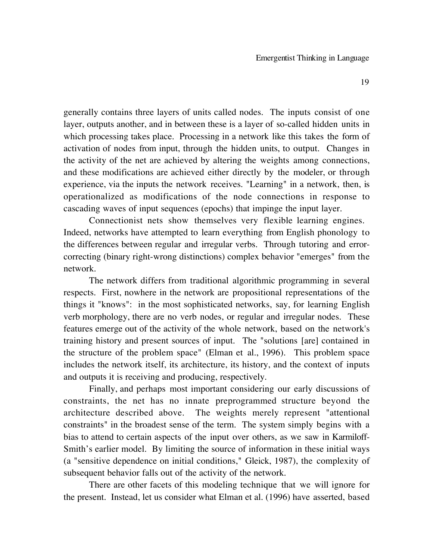generally contains three layers of units called nodes. The inputs consist of one layer, outputs another, and in between these is a layer of so-called hidden units in which processing takes place. Processing in a network like this takes the form of activation of nodes from input, through the hidden units, to output. Changes in the activity of the net are achieved by altering the weights among connections, and these modifications are achieved either directly by the modeler, or through experience, via the inputs the network receives. "Learning" in a network, then, is operationalized as modifications of the node connections in response to cascading waves of input sequences (epochs) that impinge the input layer.

Connectionist nets show themselves very flexible learning engines. Indeed, networks have attempted to learn everything from English phonology to the differences between regular and irregular verbs. Through tutoring and errorcorrecting (binary right-wrong distinctions) complex behavior "emerges" from the network.

The network differs from traditional algorithmic programming in several respects. First, nowhere in the network are propositional representations of the things it "knows": in the most sophisticated networks, say, for learning English verb morphology, there are no verb nodes, or regular and irregular nodes. These features emerge out of the activity of the whole network, based on the network's training history and present sources of input. The "solutions [are] contained in the structure of the problem space" (Elman et al., 1996). This problem space includes the network itself, its architecture, its history, and the context of inputs and outputs it is receiving and producing, respectively.

Finally, and perhaps most important considering our early discussions of constraints, the net has no innate preprogrammed structure beyond the architecture described above. The weights merely represent "attentional constraints" in the broadest sense of the term. The system simply begins with a bias to attend to certain aspects of the input over others, as we saw in Karmiloff-Smith's earlier model. By limiting the source of information in these initial ways (a "sensitive dependence on initial conditions," Gleick, 1987), the complexity of subsequent behavior falls out of the activity of the network.

There are other facets of this modeling technique that we will ignore for the present. Instead, let us consider what Elman et al. (1996) have asserted, based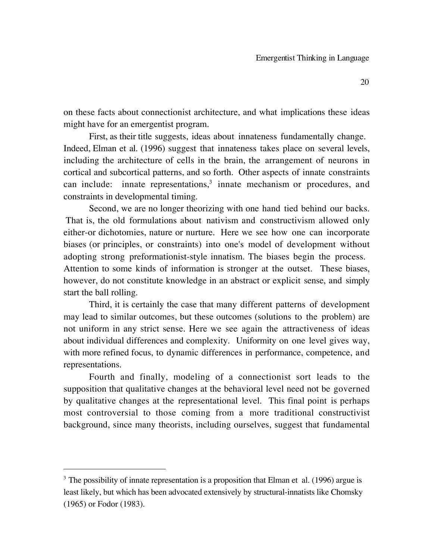on these facts about connectionist architecture, and what implications these ideas might have for an emergentist program.

First, as their title suggests, ideas about innateness fundamentally change. Indeed, Elman et al. (1996) suggest that innateness takes place on several levels, including the architecture of cells in the brain, the arrangement of neurons in cortical and subcortical patterns, and so forth. Other aspects of innate constraints can include: innate representations,  $3 \text{ }$  innate mechanism or procedures, and constraints in developmental timing.

Second, we are no longer theorizing with one hand tied behind our backs. That is, the old formulations about nativism and constructivism allowed only either-or dichotomies, nature or nurture. Here we see how one can incorporate biases (or principles, or constraints) into one's model of development without adopting strong preformationist-style innatism. The biases begin the process. Attention to some kinds of information is stronger at the outset. These biases, however, do not constitute knowledge in an abstract or explicit sense, and simply start the ball rolling.

Third, it is certainly the case that many different patterns of development may lead to similar outcomes, but these outcomes (solutions to the problem) are not uniform in any strict sense. Here we see again the attractiveness of ideas about individual differences and complexity. Uniformity on one level gives way, with more refined focus, to dynamic differences in performance, competence, and representations.

Fourth and finally, modeling of a connectionist sort leads to the supposition that qualitative changes at the behavioral level need not be governed by qualitative changes at the representational level. This final point is perhaps most controversial to those coming from a more traditional constructivist background, since many theorists, including ourselves, suggest that fundamental

 $\overline{a}$ 

 $3$  The possibility of innate representation is a proposition that Elman et al. (1996) argue is least likely, but which has been advocated extensively by structural-innatists like Chomsky (1965) or Fodor (1983).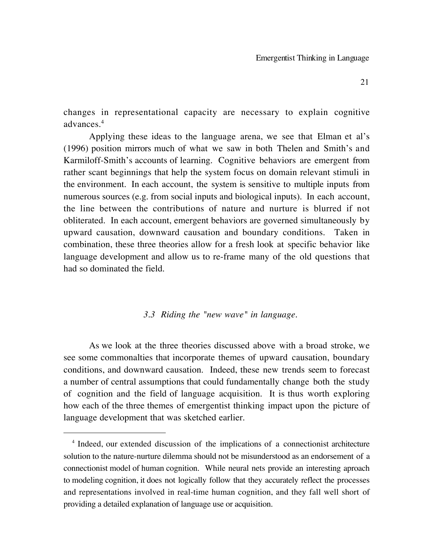changes in representational capacity are necessary to explain cognitive advances.4

Applying these ideas to the language arena, we see that Elman et al's (1996) position mirrors much of what we saw in both Thelen and Smith's and Karmiloff-Smith's accounts of learning. Cognitive behaviors are emergent from rather scant beginnings that help the system focus on domain relevant stimuli in the environment. In each account, the system is sensitive to multiple inputs from numerous sources (e.g. from social inputs and biological inputs). In each account, the line between the contributions of nature and nurture is blurred if not obliterated. In each account, emergent behaviors are governed simultaneously by upward causation, downward causation and boundary conditions. Taken in combination, these three theories allow for a fresh look at specific behavior like language development and allow us to re-frame many of the old questions that had so dominated the field.

#### *3.3 Riding the "new wave" in language.*

As we look at the three theories discussed above with a broad stroke, we see some commonalties that incorporate themes of upward causation, boundary conditions, and downward causation. Indeed, these new trends seem to forecast a number of central assumptions that could fundamentally change both the study of cognition and the field of language acquisition. It is thus worth exploring how each of the three themes of emergentist thinking impact upon the picture of language development that was sketched earlier.

 $\overline{a}$ 

<sup>&</sup>lt;sup>4</sup> Indeed, our extended discussion of the implications of a connectionist architecture solution to the nature-nurture dilemma should not be misunderstood as an endorsement of a connectionist model of human cognition. While neural nets provide an interesting aproach to modeling cognition, it does not logically follow that they accurately reflect the processes and representations involved in real-time human cognition, and they fall well short of providing a detailed explanation of language use or acquisition.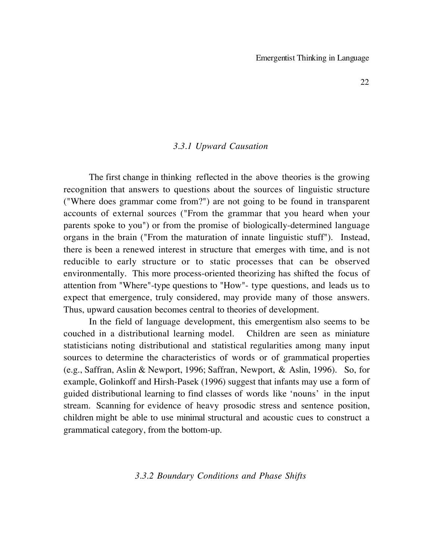#### *3.3.1 Upward Causation*

The first change in thinking reflected in the above theories is the growing recognition that answers to questions about the sources of linguistic structure ("Where does grammar come from?") are not going to be found in transparent accounts of external sources ("From the grammar that you heard when your parents spoke to you") or from the promise of biologically-determined language organs in the brain ("From the maturation of innate linguistic stuff"). Instead, there is been a renewed interest in structure that emerges with time, and is not reducible to early structure or to static processes that can be observed environmentally. This more process-oriented theorizing has shifted the focus of attention from "Where"-type questions to "How"- type questions, and leads us to expect that emergence, truly considered, may provide many of those answers. Thus, upward causation becomes central to theories of development.

In the field of language development, this emergentism also seems to be couched in a distributional learning model. Children are seen as miniature statisticians noting distributional and statistical regularities among many input sources to determine the characteristics of words or of grammatical properties (e.g., Saffran, Aslin & Newport, 1996; Saffran, Newport, & Aslin, 1996). So, for example, Golinkoff and Hirsh-Pasek (1996) suggest that infants may use a form of guided distributional learning to find classes of words like 'nouns' in the input stream. Scanning for evidence of heavy prosodic stress and sentence position, children might be able to use minimal structural and acoustic cues to construct a grammatical category, from the bottom-up.

*3.3.2 Boundary Conditions and Phase Shifts*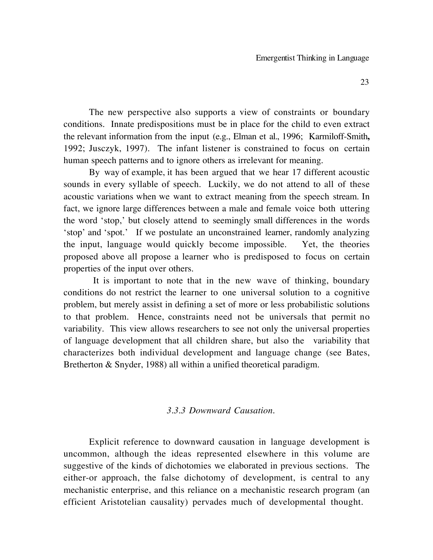The new perspective also supports a view of constraints or boundary conditions. Innate predispositions must be in place for the child to even extract the relevant information from the input (e.g., Elman et al., 1996; Karmiloff-Smith**,** 1992; Jusczyk, 1997). The infant listener is constrained to focus on certain human speech patterns and to ignore others as irrelevant for meaning.

By way of example, it has been argued that we hear 17 different acoustic sounds in every syllable of speech. Luckily, we do not attend to all of these acoustic variations when we want to extract meaning from the speech stream. In fact, we ignore large differences between a male and female voice both uttering the word 'stop,' but closely attend to seemingly small differences in the words 'stop' and 'spot.' If we postulate an unconstrained learner, randomly analyzing the input, language would quickly become impossible. Yet, the theories proposed above all propose a learner who is predisposed to focus on certain properties of the input over others.

It is important to note that in the new wave of thinking, boundary conditions do not restrict the learner to one universal solution to a cognitive problem, but merely assist in defining a set of more or less probabilistic solutions to that problem. Hence, constraints need not be universals that permit no variability. This view allows researchers to see not only the universal properties of language development that all children share, but also the variability that characterizes both individual development and language change (see Bates, Bretherton & Snyder, 1988) all within a unified theoretical paradigm.

## *3.3.3 Downward Causation.*

Explicit reference to downward causation in language development is uncommon, although the ideas represented elsewhere in this volume are suggestive of the kinds of dichotomies we elaborated in previous sections. The either-or approach, the false dichotomy of development, is central to any mechanistic enterprise, and this reliance on a mechanistic research program (an efficient Aristotelian causality) pervades much of developmental thought.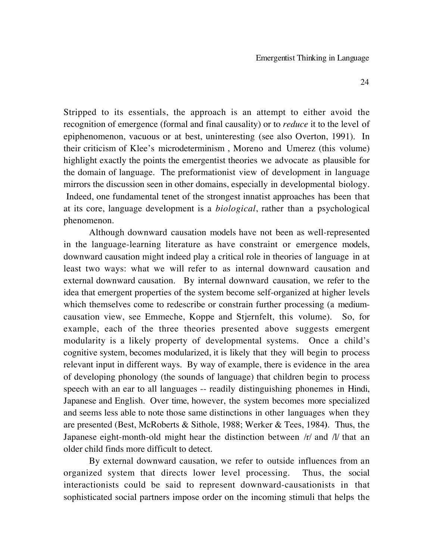Stripped to its essentials, the approach is an attempt to either avoid the recognition of emergence (formal and final causality) or to *reduce* it to the level of epiphenomenon, vacuous or at best, uninteresting (see also Overton, 1991). In their criticism of Klee's microdeterminism , Moreno and Umerez (this volume) highlight exactly the points the emergentist theories we advocate as plausible for the domain of language. The preformationist view of development in language mirrors the discussion seen in other domains, especially in developmental biology. Indeed, one fundamental tenet of the strongest innatist approaches has been that at its core, language development is a *biological*, rather than a psychological phenomenon.

Although downward causation models have not been as well-represented in the language-learning literature as have constraint or emergence models, downward causation might indeed play a critical role in theories of language in at least two ways: what we will refer to as internal downward causation and external downward causation. By internal downward causation, we refer to the idea that emergent properties of the system become self-organized at higher levels which themselves come to redescribe or constrain further processing (a mediumcausation view, see Emmeche, Koppe and Stjernfelt, this volume). So, for example, each of the three theories presented above suggests emergent modularity is a likely property of developmental systems. Once a child's cognitive system, becomes modularized, it is likely that they will begin to process relevant input in different ways. By way of example, there is evidence in the area of developing phonology (the sounds of language) that children begin to process speech with an ear to all languages -- readily distinguishing phonemes in Hindi, Japanese and English. Over time, however, the system becomes more specialized and seems less able to note those same distinctions in other languages when they are presented (Best, McRoberts & Sithole, 1988; Werker & Tees, 1984**)**. Thus, the Japanese eight-month-old might hear the distinction between /r/ and /l/ that an older child finds more difficult to detect.

By external downward causation, we refer to outside influences from an organized system that directs lower level processing. Thus, the social interactionists could be said to represent downward-causationists in that sophisticated social partners impose order on the incoming stimuli that helps the

24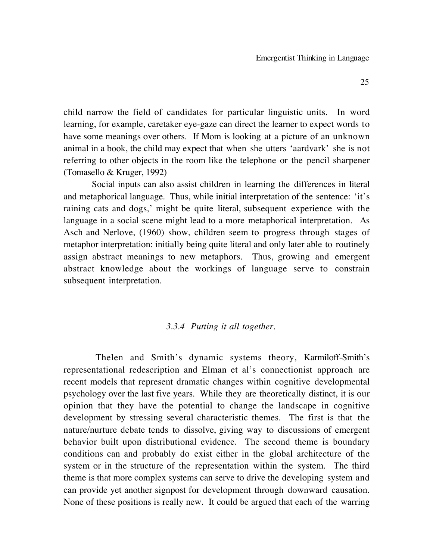child narrow the field of candidates for particular linguistic units. In word learning, for example, caretaker eye-gaze can direct the learner to expect words to have some meanings over others. If Mom is looking at a picture of an unknown animal in a book, the child may expect that when she utters 'aardvark' she is not referring to other objects in the room like the telephone or the pencil sharpener (Tomasello & Kruger, 1992)

Social inputs can also assist children in learning the differences in literal and metaphorical language. Thus, while initial interpretation of the sentence: 'it's raining cats and dogs,' might be quite literal, subsequent experience with the language in a social scene might lead to a more metaphorical interpretation. As Asch and Nerlove, (1960) show, children seem to progress through stages of metaphor interpretation: initially being quite literal and only later able to routinely assign abstract meanings to new metaphors. Thus, growing and emergent abstract knowledge about the workings of language serve to constrain subsequent interpretation.

## *3.3.4 Putting it all together.*

Thelen and Smith's dynamic systems theory, Karmiloff-Smith's representational redescription and Elman et al's connectionist approach are recent models that represent dramatic changes within cognitive developmental psychology over the last five years. While they are theoretically distinct, it is our opinion that they have the potential to change the landscape in cognitive development by stressing several characteristic themes. The first is that the nature/nurture debate tends to dissolve, giving way to discussions of emergent behavior built upon distributional evidence. The second theme is boundary conditions can and probably do exist either in the global architecture of the system or in the structure of the representation within the system. The third theme is that more complex systems can serve to drive the developing system and can provide yet another signpost for development through downward causation. None of these positions is really new. It could be argued that each of the warring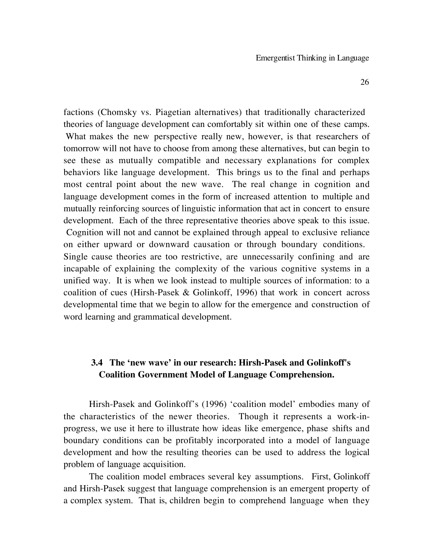factions (Chomsky vs. Piagetian alternatives) that traditionally characterized theories of language development can comfortably sit within one of these camps. What makes the new perspective really new, however, is that researchers of tomorrow will not have to choose from among these alternatives, but can begin to see these as mutually compatible and necessary explanations for complex behaviors like language development. This brings us to the final and perhaps most central point about the new wave. The real change in cognition and language development comes in the form of increased attention to multiple and mutually reinforcing sources of linguistic information that act in concert to ensure development. Each of the three representative theories above speak to this issue. Cognition will not and cannot be explained through appeal to exclusive reliance on either upward or downward causation or through boundary conditions. Single cause theories are too restrictive, are unnecessarily confining and are incapable of explaining the complexity of the various cognitive systems in a unified way. It is when we look instead to multiple sources of information: to a coalition of cues (Hirsh-Pasek & Golinkoff, 1996) that work in concert across developmental time that we begin to allow for the emergence and construction of word learning and grammatical development.

## **3.4 The 'new wave' in our research: Hirsh-Pasek and Golinkoff's Coalition Government Model of Language Comprehension.**

Hirsh-Pasek and Golinkoff's (1996) 'coalition model' embodies many of the characteristics of the newer theories. Though it represents a work-inprogress, we use it here to illustrate how ideas like emergence, phase shifts and boundary conditions can be profitably incorporated into a model of language development and how the resulting theories can be used to address the logical problem of language acquisition.

The coalition model embraces several key assumptions. First, Golinkoff and Hirsh-Pasek suggest that language comprehension is an emergent property of a complex system. That is, children begin to comprehend language when they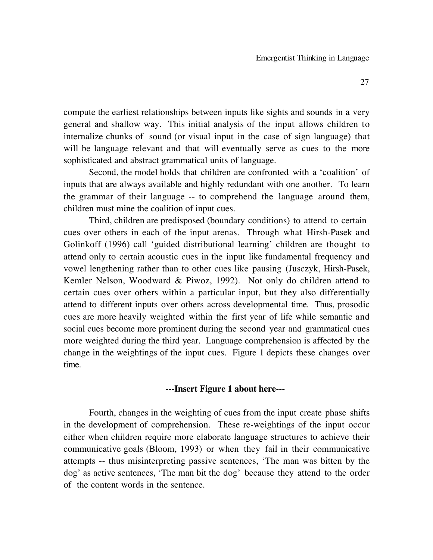compute the earliest relationships between inputs like sights and sounds in a very general and shallow way. This initial analysis of the input allows children to internalize chunks of sound (or visual input in the case of sign language) that will be language relevant and that will eventually serve as cues to the more sophisticated and abstract grammatical units of language.

Second, the model holds that children are confronted with a 'coalition' of inputs that are always available and highly redundant with one another. To learn the grammar of their language -- to comprehend the language around them, children must mine the coalition of input cues.

Third, children are predisposed (boundary conditions) to attend to certain cues over others in each of the input arenas. Through what Hirsh-Pasek and Golinkoff (1996) call 'guided distributional learning' children are thought to attend only to certain acoustic cues in the input like fundamental frequency and vowel lengthening rather than to other cues like pausing (Jusczyk, Hirsh-Pasek, Kemler Nelson, Woodward & Piwoz, 1992). Not only do children attend to certain cues over others within a particular input, but they also differentially attend to different inputs over others across developmental time. Thus, prosodic cues are more heavily weighted within the first year of life while semantic and social cues become more prominent during the second year and grammatical cues more weighted during the third year. Language comprehension is affected by the change in the weightings of the input cues. Figure 1 depicts these changes over time.

## **---Insert Figure 1 about here---**

Fourth, changes in the weighting of cues from the input create phase shifts in the development of comprehension. These re-weightings of the input occur either when children require more elaborate language structures to achieve their communicative goals (Bloom, 1993) or when they fail in their communicative attempts -- thus misinterpreting passive sentences, 'The man was bitten by the dog' as active sentences, 'The man bit the dog' because they attend to the order of the content words in the sentence.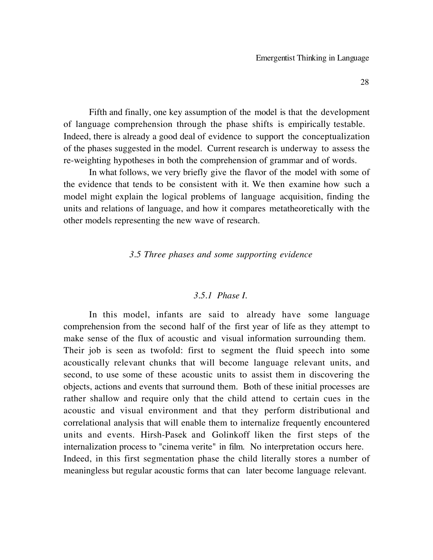Fifth and finally, one key assumption of the model is that the development of language comprehension through the phase shifts is empirically testable. Indeed, there is already a good deal of evidence to support the conceptualization of the phases suggested in the model. Current research is underway to assess the re-weighting hypotheses in both the comprehension of grammar and of words.

In what follows, we very briefly give the flavor of the model with some of the evidence that tends to be consistent with it. We then examine how such a model might explain the logical problems of language acquisition, finding the units and relations of language, and how it compares metatheoretically with the other models representing the new wave of research.

*3.5 Three phases and some supporting evidence*

## *3.5.1 Phase I.*

In this model, infants are said to already have some language comprehension from the second half of the first year of life as they attempt to make sense of the flux of acoustic and visual information surrounding them. Their job is seen as twofold: first to segment the fluid speech into some acoustically relevant chunks that will become language relevant units, and second, to use some of these acoustic units to assist them in discovering the objects, actions and events that surround them. Both of these initial processes are rather shallow and require only that the child attend to certain cues in the acoustic and visual environment and that they perform distributional and correlational analysis that will enable them to internalize frequently encountered units and events. Hirsh-Pasek and Golinkoff liken the first steps of the internalization process to "cinema verite" in film. No interpretation occurs here. Indeed, in this first segmentation phase the child literally stores a number of meaningless but regular acoustic forms that can later become language relevant.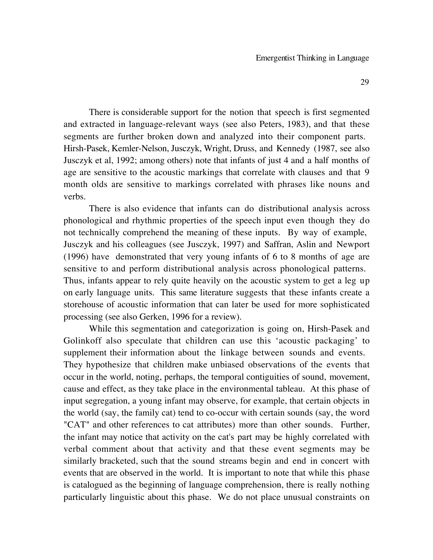There is considerable support for the notion that speech is first segmented and extracted in language-relevant ways (see also Peters, 1983), and that these segments are further broken down and analyzed into their component parts. Hirsh-Pasek, Kemler-Nelson, Jusczyk, Wright, Druss, and Kennedy (1987, see also Jusczyk et al, 1992; among others) note that infants of just 4 and a half months of age are sensitive to the acoustic markings that correlate with clauses and that 9 month olds are sensitive to markings correlated with phrases like nouns and verbs.

There is also evidence that infants can do distributional analysis across phonological and rhythmic properties of the speech input even though they do not technically comprehend the meaning of these inputs. By way of example, Jusczyk and his colleagues (see Jusczyk, 1997) and Saffran, Aslin and Newport (1996) have demonstrated that very young infants of 6 to 8 months of age are sensitive to and perform distributional analysis across phonological patterns. Thus, infants appear to rely quite heavily on the acoustic system to get a leg up on early language units. This same literature suggests that these infants create a storehouse of acoustic information that can later be used for more sophisticated processing (see also Gerken, 1996 for a review).

While this segmentation and categorization is going on, Hirsh-Pasek and Golinkoff also speculate that children can use this 'acoustic packaging' to supplement their information about the linkage between sounds and events. They hypothesize that children make unbiased observations of the events that occur in the world, noting, perhaps, the temporal contiguities of sound, movement, cause and effect, as they take place in the environmental tableau. At this phase of input segregation, a young infant may observe, for example, that certain objects in the world (say, the family cat) tend to co-occur with certain sounds (say, the word "CAT" and other references to cat attributes) more than other sounds. Further, the infant may notice that activity on the cat's part may be highly correlated with verbal comment about that activity and that these event segments may be similarly bracketed, such that the sound streams begin and end in concert with events that are observed in the world. It is important to note that while this phase is catalogued as the beginning of language comprehension, there is really nothing particularly linguistic about this phase. We do not place unusual constraints on

29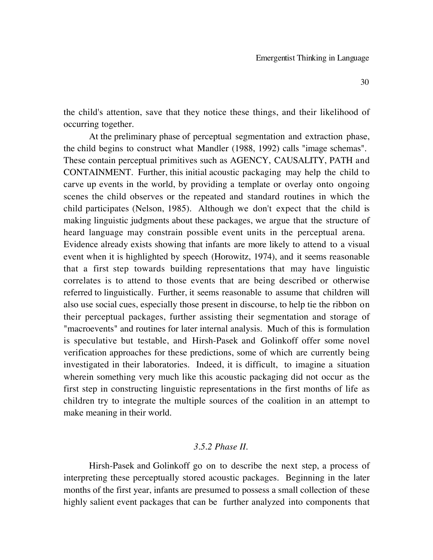the child's attention, save that they notice these things, and their likelihood of occurring together.

At the preliminary phase of perceptual segmentation and extraction phase, the child begins to construct what Mandler (1988, 1992) calls "image schemas". These contain perceptual primitives such as AGENCY, CAUSALITY, PATH and CONTAINMENT. Further, this initial acoustic packaging may help the child to carve up events in the world, by providing a template or overlay onto ongoing scenes the child observes or the repeated and standard routines in which the child participates (Nelson, 1985). Although we don't expect that the child is making linguistic judgments about these packages, we argue that the structure of heard language may constrain possible event units in the perceptual arena. Evidence already exists showing that infants are more likely to attend to a visual event when it is highlighted by speech (Horowitz, 1974), and it seems reasonable that a first step towards building representations that may have linguistic correlates is to attend to those events that are being described or otherwise referred to linguistically. Further, it seems reasonable to assume that children will also use social cues, especially those present in discourse, to help tie the ribbon on their perceptual packages, further assisting their segmentation and storage of "macroevents" and routines for later internal analysis. Much of this is formulation is speculative but testable, and Hirsh-Pasek and Golinkoff offer some novel verification approaches for these predictions, some of which are currently being investigated in their laboratories. Indeed, it is difficult, to imagine a situation wherein something very much like this acoustic packaging did not occur as the first step in constructing linguistic representations in the first months of life as children try to integrate the multiple sources of the coalition in an attempt to make meaning in their world.

## *3.5.2 Phase II.*

Hirsh-Pasek and Golinkoff go on to describe the next step, a process of interpreting these perceptually stored acoustic packages. Beginning in the later months of the first year, infants are presumed to possess a small collection of these highly salient event packages that can be further analyzed into components that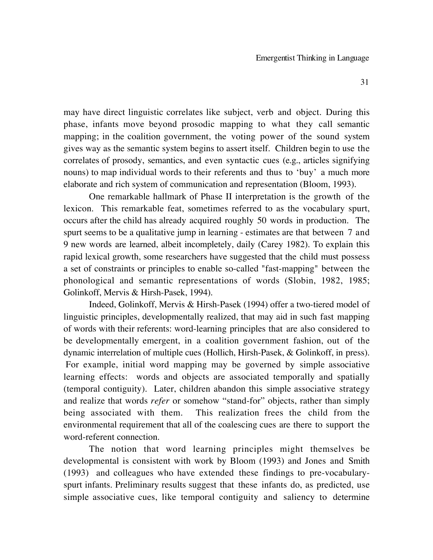may have direct linguistic correlates like subject, verb and object. During this phase, infants move beyond prosodic mapping to what they call semantic mapping; in the coalition government, the voting power of the sound system gives way as the semantic system begins to assert itself. Children begin to use the correlates of prosody, semantics, and even syntactic cues (e.g., articles signifying nouns) to map individual words to their referents and thus to 'buy' a much more elaborate and rich system of communication and representation (Bloom, 1993).

One remarkable hallmark of Phase II interpretation is the growth of the lexicon. This remarkable feat, sometimes referred to as the vocabulary spurt, occurs after the child has already acquired roughly 50 words in production. The spurt seems to be a qualitative jump in learning - estimates are that between 7 and 9 new words are learned, albeit incompletely, daily (Carey 1982). To explain this rapid lexical growth, some researchers have suggested that the child must possess a set of constraints or principles to enable so-called "fast-mapping" between the phonological and semantic representations of words (Slobin, 1982, 1985; Golinkoff, Mervis & Hirsh-Pasek, 1994).

Indeed, Golinkoff, Mervis & Hirsh-Pasek (1994) offer a two-tiered model of linguistic principles, developmentally realized, that may aid in such fast mapping of words with their referents: word-learning principles that are also considered to be developmentally emergent, in a coalition government fashion, out of the dynamic interrelation of multiple cues (Hollich, Hirsh-Pasek, & Golinkoff, in press). For example, initial word mapping may be governed by simple associative learning effects: words and objects are associated temporally and spatially (temporal contiguity). Later, children abandon this simple associative strategy and realize that words *refer* or somehow "stand-for" objects, rather than simply being associated with them. This realization frees the child from the environmental requirement that all of the coalescing cues are there to support the word-referent connection.

The notion that word learning principles might themselves be developmental is consistent with work by Bloom (1993) and Jones and Smith (1993) and colleagues who have extended these findings to pre-vocabularyspurt infants. Preliminary results suggest that these infants do, as predicted, use simple associative cues, like temporal contiguity and saliency to determine

31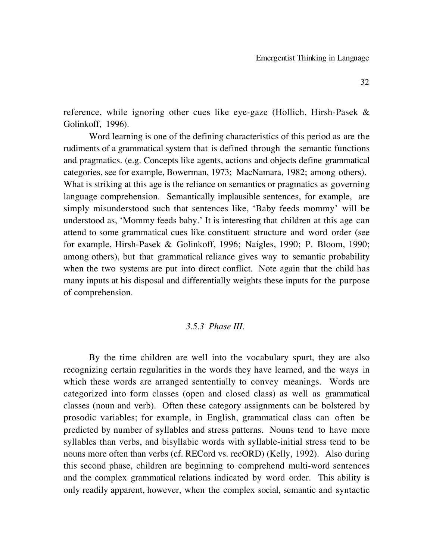reference, while ignoring other cues like eye-gaze (Hollich, Hirsh-Pasek & Golinkoff, 1996).

Word learning is one of the defining characteristics of this period as are the rudiments of a grammatical system that is defined through the semantic functions and pragmatics. (e.g. Concepts like agents, actions and objects define grammatical categories, see for example, Bowerman, 1973; MacNamara, 1982; among others). What is striking at this age is the reliance on semantics or pragmatics as governing language comprehension. Semantically implausible sentences, for example, are simply misunderstood such that sentences like, 'Baby feeds mommy' will be understood as, 'Mommy feeds baby.' It is interesting that children at this age can attend to some grammatical cues like constituent structure and word order (see for example, Hirsh-Pasek & Golinkoff, 1996; Naigles, 1990; P. Bloom, 1990; among others), but that grammatical reliance gives way to semantic probability when the two systems are put into direct conflict. Note again that the child has many inputs at his disposal and differentially weights these inputs for the purpose of comprehension.

## *3.5.3 Phase III.*

By the time children are well into the vocabulary spurt, they are also recognizing certain regularities in the words they have learned, and the ways in which these words are arranged sententially to convey meanings. Words are categorized into form classes (open and closed class) as well as grammatical classes (noun and verb). Often these category assignments can be bolstered by prosodic variables; for example, in English, grammatical class can often be predicted by number of syllables and stress patterns. Nouns tend to have more syllables than verbs, and bisyllabic words with syllable-initial stress tend to be nouns more often than verbs (cf. RECord vs. recORD) (Kelly, 1992). Also during this second phase, children are beginning to comprehend multi-word sentences and the complex grammatical relations indicated by word order. This ability is only readily apparent, however, when the complex social, semantic and syntactic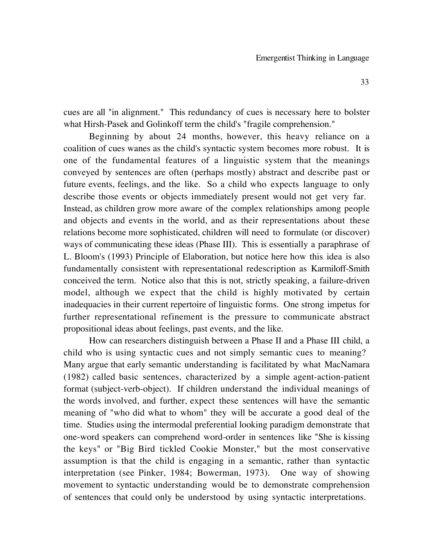cues are all "in alignment." This redundancy of cues is necessary here to bolster what Hirsh-Pasek and Golinkoff term the child's "fragile comprehension."

Beginning by about 24 months, however, this heavy reliance on a coalition of cues wanes as the child's syntactic system becomes more robust. It is one of the fundamental features of a linguistic system that the meanings conveyed by sentences are often (perhaps mostly) abstract and describe past or future events, feelings, and the like. So a child who expects language to only describe those events or objects immediately present would not get very far. Instead, as children grow more aware of the complex relationships among people and objects and events in the world, and as their representations about these relations become more sophisticated, children will need to formulate (or discover) ways of communicating these ideas (Phase III). This is essentially a paraphrase of L. Bloom's (1993) Principle of Elaboration, but notice here how this idea is also fundamentally consistent with representational redescription as Karmiloff-Smith conceived the term. Notice also that this is not, strictly speaking, a failure-driven model, although we expect that the child is highly motivated by certain inadequacies in their current repertoire of linguistic forms. One strong impetus for further representational refinement is the pressure to communicate abstract propositional ideas about feelings, past events, and the like.

How can researchers distinguish between a Phase II and a Phase III child, a child who is using syntactic cues and not simply semantic cues to meaning? Many argue that early semantic understanding is facilitated by what MacNamara (1982) called basic sentences, characterized by a simple agent-action-patient format (subject-verb-object). If children understand the individual meanings of the words involved, and further, expect these sentences will have the semantic meaning of "who did what to whom" they will be accurate a good deal of the time. Studies using the intermodal preferential looking paradigm demonstrate that one-word speakers can comprehend word-order in sentences like "She is kissing the keys" or "Big Bird tickled Cookie Monster," but the most conservative assumption is that the child is engaging in a semantic, rather than syntactic interpretation (see Pinker, 1984; Bowerman, 1973). One way of showing movement to syntactic understanding would be to demonstrate comprehension of sentences that could only be understood by using syntactic interpretations.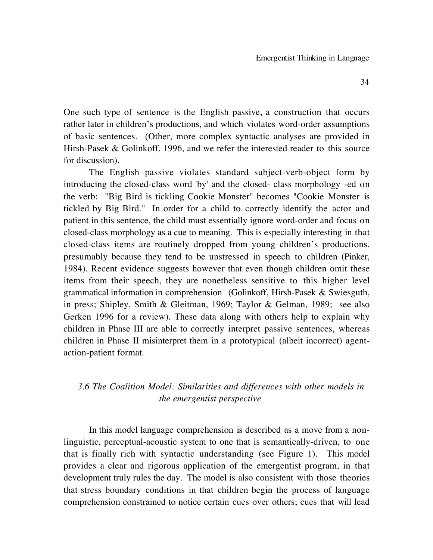One such type of sentence is the English passive, a construction that occurs rather later in children's productions, and which violates word-order assumptions of basic sentences. (Other, more complex syntactic analyses are provided in Hirsh-Pasek & Golinkoff, 1996, and we refer the interested reader to this source for discussion).

The English passive violates standard subject-verb-object form by introducing the closed-class word 'by' and the closed- class morphology -ed on the verb: "Big Bird is tickling Cookie Monster" becomes "Cookie Monster is tickled by Big Bird." In order for a child to correctly identify the actor and patient in this sentence, the child must essentially ignore word-order and focus on closed-class morphology as a cue to meaning. This is especially interesting in that closed-class items are routinely dropped from young children's productions, presumably because they tend to be unstressed in speech to children (Pinker, 1984). Recent evidence suggests however that even though children omit these items from their speech, they are nonetheless sensitive to this higher level grammatical information in comprehension (Golinkoff, Hirsh-Pasek & Swiesguth, in press; Shipley, Smith & Gleitman, 1969; Taylor & Gelman, 1989; see also Gerken 1996 for a review). These data along with others help to explain why children in Phase III are able to correctly interpret passive sentences, whereas children in Phase II misinterpret them in a prototypical (albeit incorrect) agentaction-patient format.

## *3.6 The Coalition Model: Similarities and differences with other models in the emergentist perspective*

In this model language comprehension is described as a move from a nonlinguistic, perceptual-acoustic system to one that is semantically-driven, to one that is finally rich with syntactic understanding (see Figure 1). This model provides a clear and rigorous application of the emergentist program, in that development truly rules the day. The model is also consistent with those theories that stress boundary conditions in that children begin the process of language comprehension constrained to notice certain cues over others; cues that will lead

34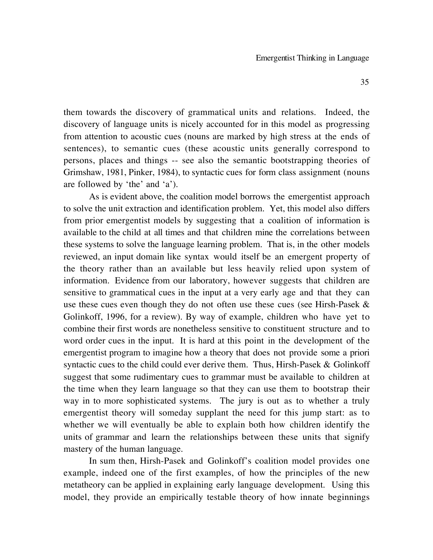them towards the discovery of grammatical units and relations. Indeed, the discovery of language units is nicely accounted for in this model as progressing from attention to acoustic cues (nouns are marked by high stress at the ends of sentences), to semantic cues (these acoustic units generally correspond to persons, places and things -- see also the semantic bootstrapping theories of Grimshaw, 1981, Pinker, 1984), to syntactic cues for form class assignment (nouns are followed by 'the' and 'a').

As is evident above, the coalition model borrows the emergentist approach to solve the unit extraction and identification problem. Yet, this model also differs from prior emergentist models by suggesting that a coalition of information is available to the child at all times and that children mine the correlations between these systems to solve the language learning problem. That is, in the other models reviewed, an input domain like syntax would itself be an emergent property of the theory rather than an available but less heavily relied upon system of information. Evidence from our laboratory, however suggests that children are sensitive to grammatical cues in the input at a very early age and that they can use these cues even though they do not often use these cues (see Hirsh-Pasek & Golinkoff, 1996, for a review). By way of example, children who have yet to combine their first words are nonetheless sensitive to constituent structure and to word order cues in the input. It is hard at this point in the development of the emergentist program to imagine how a theory that does not provide some a priori syntactic cues to the child could ever derive them. Thus, Hirsh-Pasek & Golinkoff suggest that some rudimentary cues to grammar must be available to children at the time when they learn language so that they can use them to bootstrap their way in to more sophisticated systems. The jury is out as to whether a truly emergentist theory will someday supplant the need for this jump start: as to whether we will eventually be able to explain both how children identify the units of grammar and learn the relationships between these units that signify mastery of the human language.

In sum then, Hirsh-Pasek and Golinkoff's coalition model provides one example, indeed one of the first examples, of how the principles of the new metatheory can be applied in explaining early language development. Using this model, they provide an empirically testable theory of how innate beginnings

35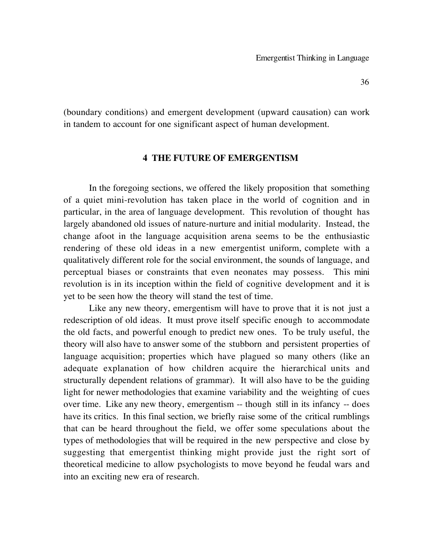(boundary conditions) and emergent development (upward causation) can work in tandem to account for one significant aspect of human development.

## **4 THE FUTURE OF EMERGENTISM**

In the foregoing sections, we offered the likely proposition that something of a quiet mini-revolution has taken place in the world of cognition and in particular, in the area of language development. This revolution of thought has largely abandoned old issues of nature-nurture and initial modularity. Instead, the change afoot in the language acquisition arena seems to be the enthusiastic rendering of these old ideas in a new emergentist uniform, complete with a qualitatively different role for the social environment, the sounds of language, and perceptual biases or constraints that even neonates may possess. This mini revolution is in its inception within the field of cognitive development and it is yet to be seen how the theory will stand the test of time.

Like any new theory, emergentism will have to prove that it is not just a redescription of old ideas. It must prove itself specific enough to accommodate the old facts, and powerful enough to predict new ones. To be truly useful, the theory will also have to answer some of the stubborn and persistent properties of language acquisition; properties which have plagued so many others (like an adequate explanation of how children acquire the hierarchical units and structurally dependent relations of grammar). It will also have to be the guiding light for newer methodologies that examine variability and the weighting of cues over time. Like any new theory, emergentism -- though still in its infancy -- does have its critics. In this final section, we briefly raise some of the critical rumblings that can be heard throughout the field, we offer some speculations about the types of methodologies that will be required in the new perspective and close by suggesting that emergentist thinking might provide just the right sort of theoretical medicine to allow psychologists to move beyond he feudal wars and into an exciting new era of research.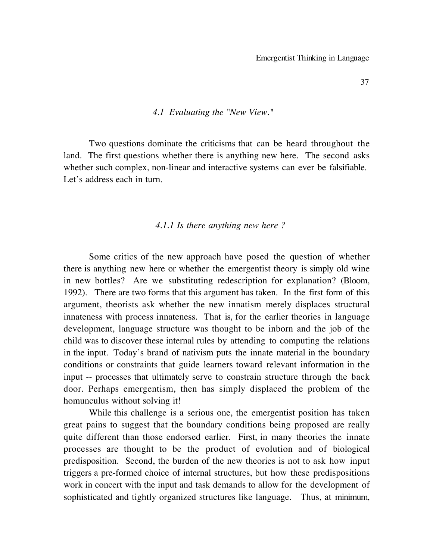#### *4.1 Evaluating the "New View."*

Two questions dominate the criticisms that can be heard throughout the land. The first questions whether there is anything new here. The second asks whether such complex, non-linear and interactive systems can ever be falsifiable. Let's address each in turn.

## *4.1.1 Is there anything new here ?*

Some critics of the new approach have posed the question of whether there is anything new here or whether the emergentist theory is simply old wine in new bottles? Are we substituting redescription for explanation? (Bloom, 1992). There are two forms that this argument has taken. In the first form of this argument, theorists ask whether the new innatism merely displaces structural innateness with process innateness. That is, for the earlier theories in language development, language structure was thought to be inborn and the job of the child was to discover these internal rules by attending to computing the relations in the input. Today's brand of nativism puts the innate material in the boundary conditions or constraints that guide learners toward relevant information in the input -- processes that ultimately serve to constrain structure through the back door. Perhaps emergentism, then has simply displaced the problem of the homunculus without solving it!

While this challenge is a serious one, the emergentist position has taken great pains to suggest that the boundary conditions being proposed are really quite different than those endorsed earlier. First, in many theories the innate processes are thought to be the product of evolution and of biological predisposition. Second, the burden of the new theories is not to ask how input triggers a pre-formed choice of internal structures, but how these predispositions work in concert with the input and task demands to allow for the development of sophisticated and tightly organized structures like language. Thus, at minimum,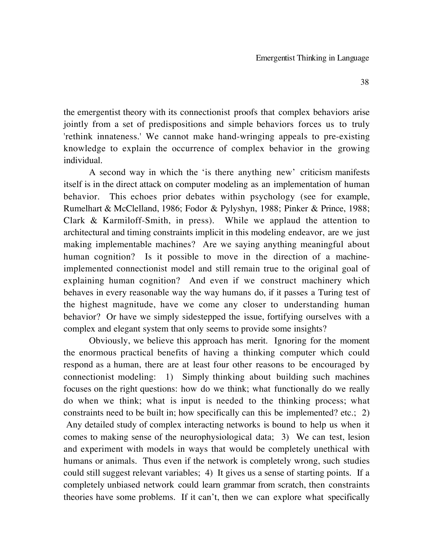the emergentist theory with its connectionist proofs that complex behaviors arise jointly from a set of predispositions and simple behaviors forces us to truly 'rethink innateness.' We cannot make hand-wringing appeals to pre-existing knowledge to explain the occurrence of complex behavior in the growing individual.

A second way in which the 'is there anything new' criticism manifests itself is in the direct attack on computer modeling as an implementation of human behavior. This echoes prior debates within psychology (see for example, Rumelhart & McClelland, 1986; Fodor & Pylyshyn, 1988; Pinker & Prince, 1988; Clark & Karmiloff-Smith, in press). While we applaud the attention to architectural and timing constraints implicit in this modeling endeavor, are we just making implementable machines? Are we saying anything meaningful about human cognition? Is it possible to move in the direction of a machineimplemented connectionist model and still remain true to the original goal of explaining human cognition? And even if we construct machinery which behaves in every reasonable way the way humans do, if it passes a Turing test of the highest magnitude, have we come any closer to understanding human behavior? Or have we simply sidestepped the issue, fortifying ourselves with a complex and elegant system that only seems to provide some insights?

Obviously, we believe this approach has merit. Ignoring for the moment the enormous practical benefits of having a thinking computer which could respond as a human, there are at least four other reasons to be encouraged by connectionist modeling: 1) Simply thinking about building such machines focuses on the right questions: how do we think; what functionally do we really do when we think; what is input is needed to the thinking process; what constraints need to be built in; how specifically can this be implemented? etc.; 2) Any detailed study of complex interacting networks is bound to help us when it comes to making sense of the neurophysiological data; 3) We can test, lesion and experiment with models in ways that would be completely unethical with humans or animals. Thus even if the network is completely wrong, such studies could still suggest relevant variables; 4) It gives us a sense of starting points. If a completely unbiased network could learn grammar from scratch, then constraints theories have some problems. If it can't, then we can explore what specifically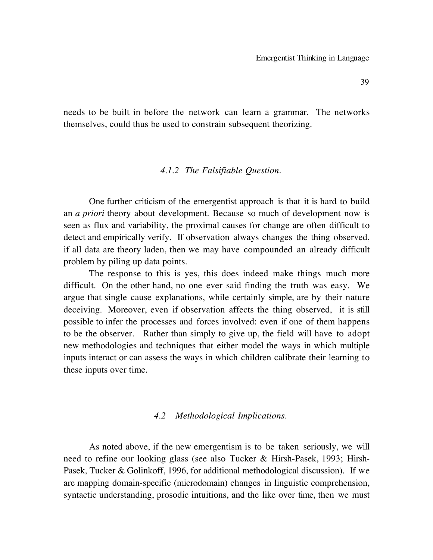needs to be built in before the network can learn a grammar. The networks themselves, could thus be used to constrain subsequent theorizing.

## *4.1.2 The Falsifiable Question.*

One further criticism of the emergentist approach is that it is hard to build an *a priori* theory about development. Because so much of development now is seen as flux and variability, the proximal causes for change are often difficult to detect and empirically verify. If observation always changes the thing observed, if all data are theory laden, then we may have compounded an already difficult problem by piling up data points.

The response to this is yes, this does indeed make things much more difficult. On the other hand, no one ever said finding the truth was easy. We argue that single cause explanations, while certainly simple, are by their nature deceiving. Moreover, even if observation affects the thing observed, it is still possible to infer the processes and forces involved: even if one of them happens to be the observer. Rather than simply to give up, the field will have to adopt new methodologies and techniques that either model the ways in which multiple inputs interact or can assess the ways in which children calibrate their learning to these inputs over time.

#### *4.2 Methodological Implications.*

As noted above, if the new emergentism is to be taken seriously, we will need to refine our looking glass (see also Tucker & Hirsh-Pasek, 1993; Hirsh-Pasek, Tucker & Golinkoff, 1996, for additional methodological discussion). If we are mapping domain-specific (microdomain) changes in linguistic comprehension, syntactic understanding, prosodic intuitions, and the like over time, then we must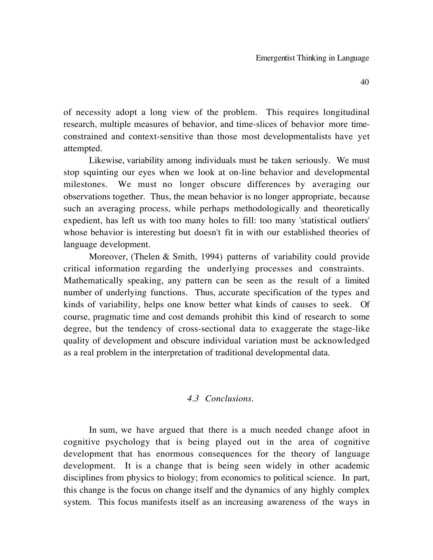of necessity adopt a long view of the problem. This requires longitudinal research, multiple measures of behavior, and time-slices of behavior more timeconstrained and context-sensitive than those most developmentalists have yet attempted.

Likewise, variability among individuals must be taken seriously. We must stop squinting our eyes when we look at on-line behavior and developmental milestones. We must no longer obscure differences by averaging our observations together. Thus, the mean behavior is no longer appropriate, because such an averaging process, while perhaps methodologically and theoretically expedient, has left us with too many holes to fill: too many 'statistical outliers' whose behavior is interesting but doesn't fit in with our established theories of language development.

Moreover, (Thelen & Smith, 1994) patterns of variability could provide critical information regarding the underlying processes and constraints. Mathematically speaking, any pattern can be seen as the result of a limited number of underlying functions. Thus, accurate specification of the types and kinds of variability, helps one know better what kinds of causes to seek. Of course, pragmatic time and cost demands prohibit this kind of research to some degree, but the tendency of cross-sectional data to exaggerate the stage-like quality of development and obscure individual variation must be acknowledged as a real problem in the interpretation of traditional developmental data.

## *4.3 Conclusions.*

In sum, we have argued that there is a much needed change afoot in cognitive psychology that is being played out in the area of cognitive development that has enormous consequences for the theory of language development. It is a change that is being seen widely in other academic disciplines from physics to biology; from economics to political science. In part, this change is the focus on change itself and the dynamics of any highly complex system. This focus manifests itself as an increasing awareness of the ways in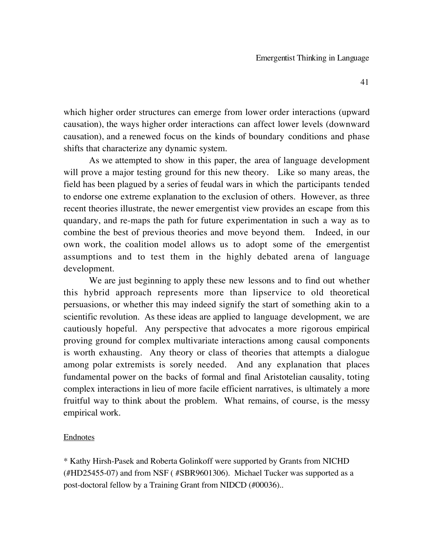which higher order structures can emerge from lower order interactions (upward causation), the ways higher order interactions can affect lower levels (downward causation), and a renewed focus on the kinds of boundary conditions and phase shifts that characterize any dynamic system.

As we attempted to show in this paper, the area of language development will prove a major testing ground for this new theory. Like so many areas, the field has been plagued by a series of feudal wars in which the participants tended to endorse one extreme explanation to the exclusion of others. However, as three recent theories illustrate, the newer emergentist view provides an escape from this quandary, and re-maps the path for future experimentation in such a way as to combine the best of previous theories and move beyond them. Indeed, in our own work, the coalition model allows us to adopt some of the emergentist assumptions and to test them in the highly debated arena of language development.

We are just beginning to apply these new lessons and to find out whether this hybrid approach represents more than lipservice to old theoretical persuasions, or whether this may indeed signify the start of something akin to a scientific revolution. As these ideas are applied to language development, we are cautiously hopeful. Any perspective that advocates a more rigorous empirical proving ground for complex multivariate interactions among causal components is worth exhausting. Any theory or class of theories that attempts a dialogue among polar extremists is sorely needed. And any explanation that places fundamental power on the backs of formal and final Aristotelian causality, toting complex interactions in lieu of more facile efficient narratives, is ultimately a more fruitful way to think about the problem. What remains, of course, is the messy empirical work.

## Endnotes

\* Kathy Hirsh-Pasek and Roberta Golinkoff were supported by Grants from NICHD (#HD25455-07) and from NSF ( #SBR9601306). Michael Tucker was supported as a post-doctoral fellow by a Training Grant from NIDCD (#00036)..

41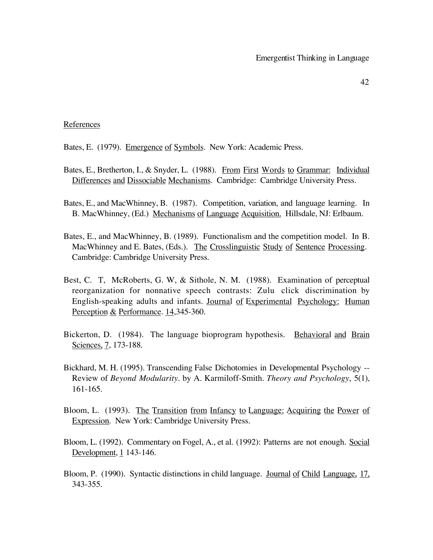#### References

- Bates, E. (1979). Emergence of Symbols. New York: Academic Press.
- Bates, E., Bretherton, I., & Snyder, L. (1988). From First Words to Grammar: Individual Differences and Dissociable Mechanisms. Cambridge: Cambridge University Press.
- Bates, E., and MacWhinney, B. (1987). Competition, variation, and language learning. In B. MacWhinney, (Ed.) Mechanisms of Language Acquisition. Hillsdale, NJ: Erlbaum.
- Bates, E., and MacWhinney, B. (1989). Functionalism and the competition model. In B. MacWhinney and E. Bates, (Eds.). The Crosslinguistic Study of Sentence Processing. Cambridge: Cambridge University Press.
- Best, C. T, McRoberts, G. W, & Sithole, N. M. (1988). Examination of perceptual reorganization for nonnative speech contrasts: Zulu click discrimination by English-speaking adults and infants. Journal of Experimental Psychology: Human Perception & Performance. 14,345-360.
- Bickerton, D. (1984). The language bioprogram hypothesis. Behavioral and Brain Sciences, 7, 173-188.
- Bickhard, M. H. (1995). Transcending False Dichotomies in Developmental Psychology -- Review of *Beyond Modularity*. by A. Karmiloff-Smith. *Theory and Psychology*, 5(1), 161-165.
- Bloom, L. (1993). The Transition from Infancy to Language: Acquiring the Power of Expression. New York: Cambridge University Press.
- Bloom, L. (1992). Commentary on Fogel, A., et al. (1992): Patterns are not enough. Social Development, 1 143-146.
- Bloom, P. (1990). Syntactic distinctions in child language. Journal of Child Language, 17, 343-355.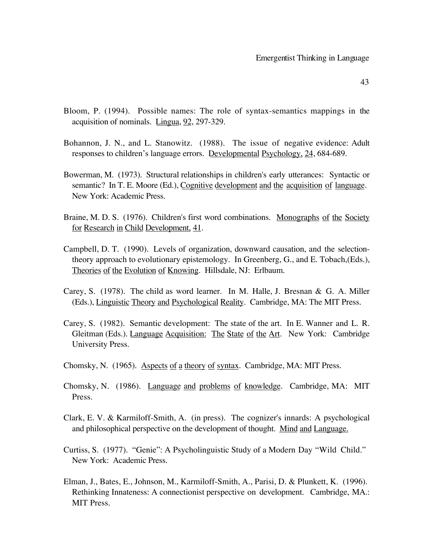- Bloom, P. (1994). Possible names: The role of syntax-semantics mappings in the acquisition of nominals. Lingua, 92, 297-329.
- Bohannon, J. N., and L. Stanowitz. (1988). The issue of negative evidence: Adult responses to children's language errors. Developmental Psychology, 24, 684-689.
- Bowerman, M. (1973). Structural relationships in children's early utterances: Syntactic or semantic? In T. E. Moore (Ed.), Cognitive development and the acquisition of language. New York: Academic Press.
- Braine, M. D. S. (1976). Children's first word combinations. Monographs of the Society for Research in Child Development, 41.
- Campbell, D. T. (1990). Levels of organization, downward causation, and the selectiontheory approach to evolutionary epistemology. In Greenberg, G., and E. Tobach,(Eds.), Theories of the Evolution of Knowing. Hillsdale, NJ: Erlbaum.
- Carey, S. (1978). The child as word learner. In M. Halle, J. Bresnan & G. A. Miller (Eds.), Linguistic Theory and Psychological Reality. Cambridge, MA: The MIT Press.
- Carey, S. (1982). Semantic development: The state of the art. In E. Wanner and L. R. Gleitman (Eds.). Language Acquisition: The State of the Art. New York: Cambridge University Press.
- Chomsky, N. (1965). Aspects of a theory of syntax. Cambridge, MA: MIT Press.
- Chomsky, N. (1986). Language and problems of knowledge. Cambridge, MA: MIT Press.
- Clark, E. V. & Karmiloff-Smith, A. (in press). The cognizer's innards: A psychological and philosophical perspective on the development of thought. Mind and Language.
- Curtiss, S. (1977). "Genie": A Psycholinguistic Study of a Modern Day "Wild Child." New York: Academic Press.
- Elman, J., Bates, E., Johnson, M., Karmiloff-Smith, A., Parisi, D. & Plunkett, K. (1996). Rethinking Innateness: A connectionist perspective on development. Cambridge, MA.: MIT Press.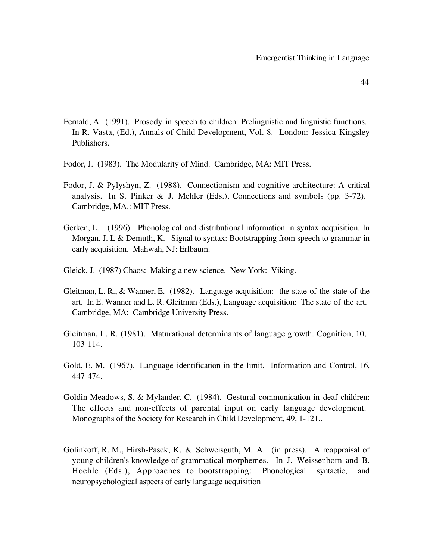- Fernald, A. (1991). Prosody in speech to children: Prelinguistic and linguistic functions. In R. Vasta, (Ed.), Annals of Child Development, Vol. 8. London: Jessica Kingsley Publishers.
- Fodor, J. (1983). The Modularity of Mind. Cambridge, MA: MIT Press.
- Fodor, J. & Pylyshyn, Z. (1988). Connectionism and cognitive architecture: A critical analysis. In S. Pinker & J. Mehler (Eds.), Connections and symbols (pp. 3-72). Cambridge, MA.: MIT Press.
- Gerken, L. (1996). Phonological and distributional information in syntax acquisition. In Morgan, J. L & Demuth, K. Signal to syntax: Bootstrapping from speech to grammar in early acquisition. Mahwah, NJ: Erlbaum.
- Gleick, J. (1987) Chaos: Making a new science. New York: Viking.
- Gleitman, L. R., & Wanner, E. (1982). Language acquisition: the state of the state of the art. In E. Wanner and L. R. Gleitman (Eds.), Language acquisition: The state of the art. Cambridge, MA: Cambridge University Press.
- Gleitman, L. R. (1981). Maturational determinants of language growth. Cognition, 10, 103-114.
- Gold, E. M. (1967). Language identification in the limit. Information and Control, 16, 447-474.
- Goldin-Meadows, S. & Mylander, C. (1984). Gestural communication in deaf children: The effects and non-effects of parental input on early language development. Monographs of the Society for Research in Child Development, 49, 1-121..
- Golinkoff, R. M., Hirsh-Pasek, K. & Schweisguth, M. A. (in press). A reappraisal of young children's knowledge of grammatical morphemes. In J. Weissenborn and B. Hoehle (Eds.), Approaches to bootstrapping: Phonological syntactic, and neuropsychological aspects of early language acquisition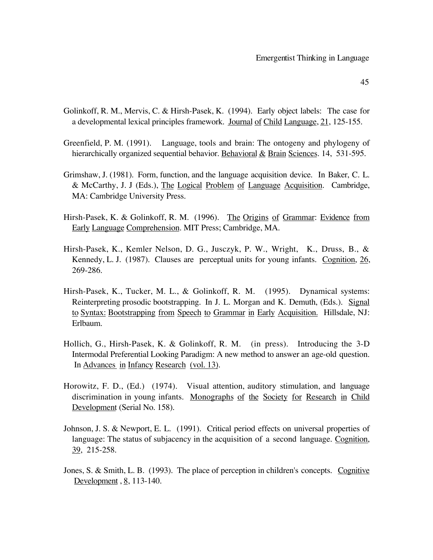- 45
- Golinkoff, R. M., Mervis, C. & Hirsh-Pasek, K. (1994). Early object labels: The case for a developmental lexical principles framework. Journal of Child Language, 21, 125-155.
- Greenfield, P. M. (1991). Language, tools and brain: The ontogeny and phylogeny of hierarchically organized sequential behavior. Behavioral  $&$  Brain Sciences. 14, 531-595.
- Grimshaw, J. (1981). Form, function, and the language acquisition device. In Baker, C. L. & McCarthy, J. J (Eds.), The Logical Problem of Language Acquisition. Cambridge, MA: Cambridge University Press.
- Hirsh-Pasek, K. & Golinkoff, R. M. (1996). The Origins of Grammar: Evidence from Early Language Comprehension. MIT Press; Cambridge, MA.
- Hirsh-Pasek, K., Kemler Nelson, D. G., Jusczyk, P. W., Wright, K., Druss, B., & Kennedy, L. J. (1987). Clauses are perceptual units for young infants. Cognition, 26, 269-286.
- Hirsh-Pasek, K., Tucker, M. L., & Golinkoff, R. M. (1995). Dynamical systems: Reinterpreting prosodic bootstrapping. In J. L. Morgan and K. Demuth, (Eds.). Signal to Syntax: Bootstrapping from Speech to Grammar in Early Acquisition. Hillsdale, NJ: Erlbaum.
- Hollich, G., Hirsh-Pasek, K. & Golinkoff, R. M. (in press). Introducing the 3-D Intermodal Preferential Looking Paradigm: A new method to answer an age-old question. In Advances in Infancy Research (vol. 13).
- Horowitz, F. D., (Ed.) (1974). Visual attention, auditory stimulation, and language discrimination in young infants. Monographs of the Society for Research in Child Development (Serial No. 158).
- Johnson, J. S. & Newport, E. L. (1991). Critical period effects on universal properties of language: The status of subjacency in the acquisition of a second language. Cognition, 39, 215-258.
- Jones, S. & Smith, L. B. (1993). The place of perception in children's concepts. Cognitive Development , 8, 113-140.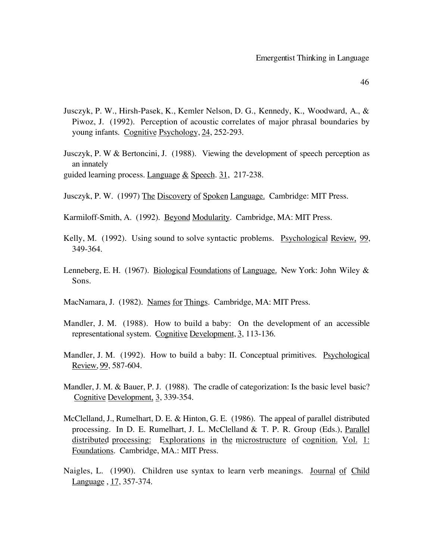- Jusczyk, P. W., Hirsh-Pasek, K., Kemler Nelson, D. G., Kennedy, K., Woodward, A., & Piwoz, J. (1992). Perception of acoustic correlates of major phrasal boundaries by young infants. Cognitive Psychology, 24, 252-293.
- Jusczyk, P. W & Bertoncini, J. (1988). Viewing the development of speech perception as an innately
- guided learning process. Language  $&$  Speech. 31, 217-238.
- Jusczyk, P. W. (1997) The Discovery of Spoken Language. Cambridge: MIT Press.
- Karmiloff-Smith, A. (1992). Beyond Modularity. Cambridge, MA: MIT Press.
- Kelly, M. (1992). Using sound to solve syntactic problems. Psychological Review, 99, 349-364.
- Lenneberg, E. H. (1967). Biological Foundations of Language. New York: John Wiley & Sons.
- MacNamara, J. (1982). Names for Things. Cambridge, MA: MIT Press.
- Mandler, J. M. (1988). How to build a baby: On the development of an accessible representational system. Cognitive Development, 3, 113-136.
- Mandler, J. M. (1992). How to build a baby: II. Conceptual primitives. Psychological Review, 99, 587-604.
- Mandler, J. M. & Bauer, P. J. (1988). The cradle of categorization: Is the basic level basic? Cognitive Development, 3, 339-354.
- McClelland, J., Rumelhart, D. E. & Hinton, G. E. (1986). The appeal of parallel distributed processing. In D. E. Rumelhart, J. L. McClelland & T. P. R. Group (Eds.), Parallel distributed processing: Explorations in the microstructure of cognition. Vol. 1: Foundations. Cambridge, MA.: MIT Press.
- Naigles, L. (1990). Children use syntax to learn verb meanings. Journal of Child Language , 17, 357-374.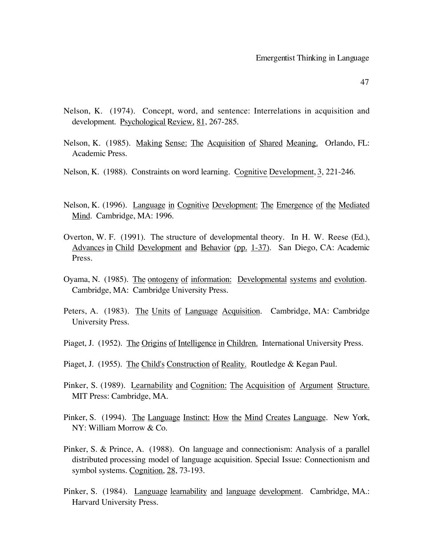- Nelson, K. (1974). Concept, word, and sentence: Interrelations in acquisition and development. Psychological Review, 81, 267-285.
- Nelson, K. (1985). Making Sense: The Acquisition of Shared Meaning. Orlando, FL: Academic Press.
- Nelson, K. (1988). Constraints on word learning. Cognitive Development, 3, 221-246.
- Nelson, K. (1996). Language in Cognitive Development: The Emergence of the Mediated Mind. Cambridge, MA: 1996.
- Overton, W. F. (1991). The structure of developmental theory. In H. W. Reese (Ed.), Advances in Child Development and Behavior (pp. 1-37). San Diego, CA: Academic Press.
- Oyama, N. (1985). The ontogeny of information: Developmental systems and evolution. Cambridge, MA: Cambridge University Press.
- Peters, A. (1983). The Units of Language Acquisition. Cambridge, MA: Cambridge University Press.
- Piaget, J. (1952). The Origins of Intelligence in Children. International University Press.
- Piaget, J. (1955). The Child's Construction of Reality. Routledge & Kegan Paul.
- Pinker, S. (1989). Learnability and Cognition: The Acquisition of Argument Structure. MIT Press: Cambridge, MA.
- Pinker, S. (1994). The Language Instinct: How the Mind Creates Language. New York, NY: William Morrow & Co.
- Pinker, S. & Prince, A. (1988). On language and connectionism: Analysis of a parallel distributed processing model of language acquisition. Special Issue: Connectionism and symbol systems. Cognition, 28, 73-193.
- Pinker, S. (1984). Language learnability and language development. Cambridge, MA.: Harvard University Press.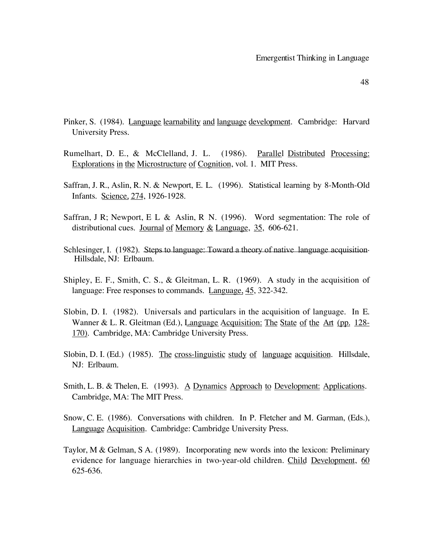- Pinker, S. (1984). Language learnability and language development. Cambridge: Harvard University Press.
- Rumelhart, D. E., & McClelland, J. L. (1986). Parallel Distributed Processing: Explorations in the Microstructure of Cognition, vol. 1. MIT Press.
- Saffran, J. R., Aslin, R. N. & Newport, E. L. (1996). Statistical learning by 8-Month-Old Infants. Science, 274, 1926-1928.
- Saffran, J R; Newport, E L & Aslin, R N. (1996). Word segmentation: The role of distributional cues. Journal of Memory & Language, 35, 606-621.
- Schlesinger, I. (1982). Steps to language: Toward a theory of native language acquisition. Hillsdale, NJ: Erlbaum.
- Shipley, E. F., Smith, C. S., & Gleitman, L. R. (1969). A study in the acquisition of language: Free responses to commands. Language, 45, 322-342.
- Slobin, D. I. (1982). Universals and particulars in the acquisition of language. In E. Wanner & L. R. Gleitman (Ed.), Language Acquisition: The State of the Art (pp. 128-170). Cambridge, MA: Cambridge University Press.
- Slobin, D. I. (Ed.) (1985). The cross-linguistic study of language acquisition. Hillsdale, NJ: Erlbaum.
- Smith, L. B. & Thelen, E. (1993). A Dynamics Approach to Development: Applications. Cambridge, MA: The MIT Press.
- Snow, C. E. (1986). Conversations with children. In P. Fletcher and M. Garman, (Eds.), Language Acquisition. Cambridge: Cambridge University Press.
- Taylor, M & Gelman, S A. (1989). Incorporating new words into the lexicon: Preliminary evidence for language hierarchies in two-year-old children. Child Development, 60 625-636.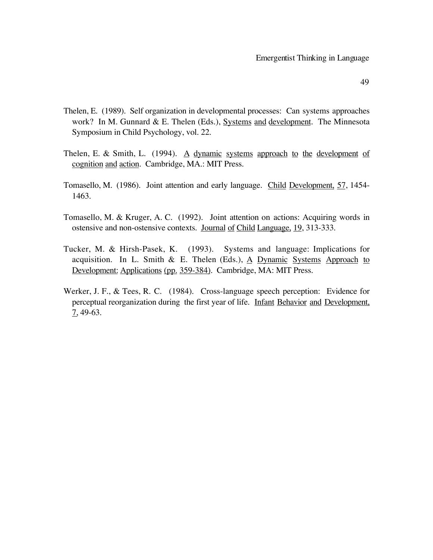- Thelen, E. (1989). Self organization in developmental processes: Can systems approaches work? In M. Gunnard & E. Thelen (Eds.), Systems and development. The Minnesota Symposium in Child Psychology, vol. 22.
- Thelen, E. & Smith, L.  $(1994)$ . A dynamic systems approach to the development of cognition and action. Cambridge, MA.: MIT Press.
- Tomasello, M. (1986). Joint attention and early language. Child Development, 57, 1454-1463.
- Tomasello, M. & Kruger, A. C. (1992). Joint attention on actions: Acquiring words in ostensive and non-ostensive contexts. Journal of Child Language, 19, 313-333.
- Tucker, M. & Hirsh-Pasek, K. (1993). Systems and language: Implications for acquisition. In L. Smith & E. Thelen (Eds.),  $\overline{A}$  Dynamic Systems Approach to Development: Applications (pp. 359-384). Cambridge, MA: MIT Press.
- Werker, J. F., & Tees, R. C. (1984). Cross-language speech perception: Evidence for perceptual reorganization during the first year of life. Infant Behavior and Development, 7, 49-63.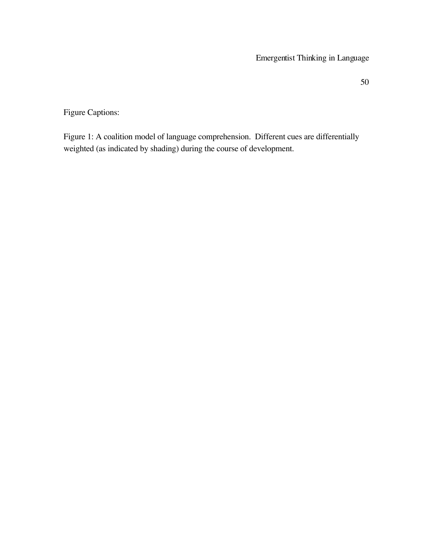Figure Captions:

Figure 1: A coalition model of language comprehension. Different cues are differentially weighted (as indicated by shading) during the course of development.